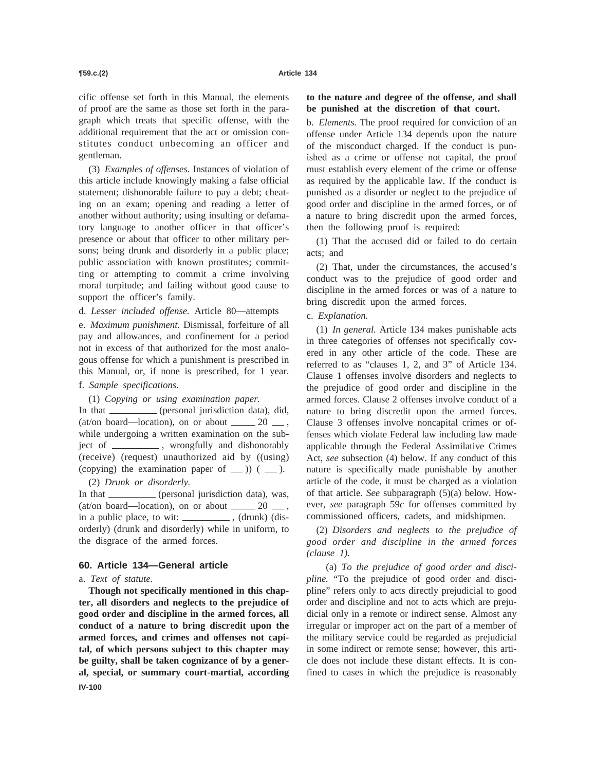cific offense set forth in this Manual, the elements of proof are the same as those set forth in the paragraph which treats that specific offense, with the additional requirement that the act or omission constitutes conduct unbecoming an officer and gentleman.

(3) *Examples of offenses.* Instances of violation of this article include knowingly making a false official statement; dishonorable failure to pay a debt; cheating on an exam; opening and reading a letter of another without authority; using insulting or defamatory language to another officer in that officer's presence or about that officer to other military persons; being drunk and disorderly in a public place; public association with known prostitutes; committing or attempting to commit a crime involving moral turpitude; and failing without good cause to support the officer's family.

d. *Lesser included offense.* Article 80—attempts

e. *Maximum punishment.* Dismissal, forfeiture of all pay and allowances, and confinement for a period not in excess of that authorized for the most analogous offense for which a punishment is prescribed in this Manual, or, if none is prescribed, for 1 year.

# f. *Sample specifications.*

(1) *Copying or using examination paper.*  In that (personal jurisdiction data), did, (at/on board—location), on or about  $\_\_\_\_$  20  $\_\_\$ while undergoing a written examination on the subject of \_\_\_\_\_\_\_\_\_\_, wrongfully and dishonorably ( $receiver$ ) ( $request$ ) unauthorized aid by  $((using)$ (copying) the examination paper of  $\Box$ ) ( $\Box$ ).

(2) *Drunk or disorderly.* 

In that (personal jurisdiction data), was, (at/on board—location), on or about  $\_\_\_\_$  20  $\_\_\$ , in a public place, to wit: \_\_\_\_\_\_\_\_\_\_, (drunk) (disorderly) (drunk and disorderly) while in uniform, to the disgrace of the armed forces.

#### **60. Article 134—General article**

a. *Text of statute.* 

**Though not specifically mentioned in this chapter, all disorders and neglects to the prejudice of good order and discipline in the armed forces, all conduct of a nature to bring discredit upon the armed forces, and crimes and offenses not capital, of which persons subject to this chapter may be guilty, shall be taken cognizance of by a general, special, or summary court-martial, according IV-100**

## **to the nature and degree of the offense, and shall be punished at the discretion of that court.**

b. *Elements.* The proof required for conviction of an offense under Article 134 depends upon the nature of the misconduct charged. If the conduct is punished as a crime or offense not capital, the proof must establish every element of the crime or offense as required by the applicable law. If the conduct is punished as a disorder or neglect to the prejudice of good order and discipline in the armed forces, or of a nature to bring discredit upon the armed forces, then the following proof is required:

(1) That the accused did or failed to do certain acts; and

(2) That, under the circumstances, the accused's conduct was to the prejudice of good order and discipline in the armed forces or was of a nature to bring discredit upon the armed forces.

#### c. *Explanation.*

(1) *In general.* Article 134 makes punishable acts in three categories of offenses not specifically covered in any other article of the code. These are referred to as "clauses 1, 2, and 3" of Article 134. Clause 1 offenses involve disorders and neglects to the prejudice of good order and discipline in the armed forces. Clause 2 offenses involve conduct of a nature to bring discredit upon the armed forces. Clause 3 offenses involve noncapital crimes or offenses which violate Federal law including law made applicable through the Federal Assimilative Crimes Act, *see* subsection (4) below. If any conduct of this nature is specifically made punishable by another article of the code, it must be charged as a violation of that article. *See* subparagraph (5)(a) below. However, *see* paragraph 59*c* for offenses committed by commissioned officers, cadets, and midshipmen.

(2) *Disorders and neglects to the prejudice of*  good order and discipline in the armed forces *(clause 1).* 

(a) *To the prejudice of good order and discipline.* "To the prejudice of good order and discipline" refers only to acts directly prejudicial to good order and discipline and not to acts which are prejudicial only in a remote or indirect sense. Almost any irregular or improper act on the part of a member of the military service could be regarded as prejudicial in some indirect or remote sense; however, this article does not include these distant effects. It is confined to cases in which the prejudice is reasonably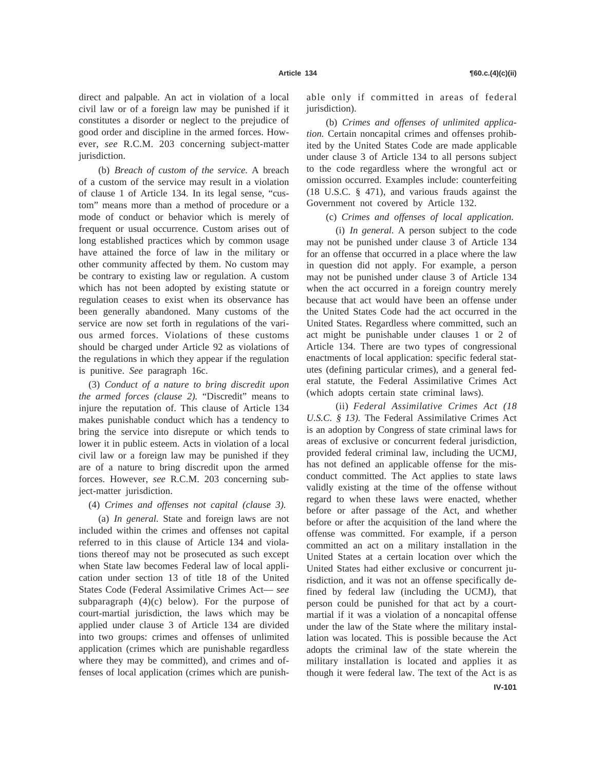direct and palpable. An act in violation of a local civil law or of a foreign law may be punished if it constitutes a disorder or neglect to the prejudice of good order and discipline in the armed forces. However, see R.C.M. 203 concerning subject-matter jurisdiction.

(b) *Breach of custom of the service.* A breach of a custom of the service may result in a violation of clause 1 of Article 134. In its legal sense, "custom" means more than a method of procedure or a mode of conduct or behavior which is merely of frequent or usual occurrence. Custom arises out of long established practices which by common usage have attained the force of law in the military or other community affected by them. No custom may be contrary to existing law or regulation. A custom which has not been adopted by existing statute or regulation ceases to exist when its observance has been generally abandoned. Many customs of the service are now set forth in regulations of the various armed forces. Violations of these customs should be charged under Article 92 as violations of the regulations in which they appear if the regulation is punitive. *See* paragraph 16c.

(3) *Conduct of a nature to bring discredit upon the armed forces (clause 2).* "Discredit" means to injure the reputation of. This clause of Article 134 makes punishable conduct which has a tendency to bring the service into disrepute or which tends to lower it in public esteem. Acts in violation of a local civil law or a foreign law may be punished if they are of a nature to bring discredit upon the armed forces. However, *see* R.C.M. 203 concerning subject-matter jurisdiction.

(4) *Crimes and offenses not capital (clause 3).* 

(a) *In general.* State and foreign laws are not included within the crimes and offenses not capital referred to in this clause of Article 134 and violations thereof may not be prosecuted as such except when State law becomes Federal law of local application under section 13 of title 18 of the United States Code (Federal Assimilative Crimes Act— *see* subparagraph  $(4)(c)$  below). For the purpose of court-martial jurisdiction, the laws which may be applied under clause 3 of Article 134 are divided into two groups: crimes and offenses of unlimited application (crimes which are punishable regardless where they may be committed), and crimes and offenses of local application (crimes which are punishable only if committed in areas of federal jurisdiction).

(b) *Crimes and offenses of unlimited application.* Certain noncapital crimes and offenses prohibited by the United States Code are made applicable under clause 3 of Article 134 to all persons subject to the code regardless where the wrongful act or omission occurred. Examples include: counterfeiting (18 U.S.C. § 471), and various frauds against the Government not covered by Article 132.

(c) *Crimes and offenses of local application.* 

(i) *In general.* A person subject to the code may not be punished under clause 3 of Article 134 for an offense that occurred in a place where the law in question did not apply. For example, a person may not be punished under clause 3 of Article 134 when the act occurred in a foreign country merely because that act would have been an offense under the United States Code had the act occurred in the United States. Regardless where committed, such an act might be punishable under clauses 1 or 2 of Article 134. There are two types of congressional enactments of local application: specific federal statutes (defining particular crimes), and a general federal statute, the Federal Assimilative Crimes Act (which adopts certain state criminal laws).

(ii) Federal Assimilative Crimes Act (18 *U.S.C. § 13).* The Federal Assimilative Crimes Act is an adoption by Congress of state criminal laws for areas of exclusive or concurrent federal jurisdiction, provided federal criminal law, including the UCMJ, has not defined an applicable offense for the misconduct committed. The Act applies to state laws validly existing at the time of the offense without regard to when these laws were enacted, whether before or after passage of the Act, and whether before or after the acquisition of the land where the offense was committed. For example, if a person committed an act on a military installation in the United States at a certain location over which the United States had either exclusive or concurrent jurisdiction, and it was not an offense specifically defined by federal law (including the UCMJ), that person could be punished for that act by a courtmartial if it was a violation of a noncapital offense under the law of the State where the military installation was located. This is possible because the Act adopts the criminal law of the state wherein the military installation is located and applies it as though it were federal law. The text of the Act is as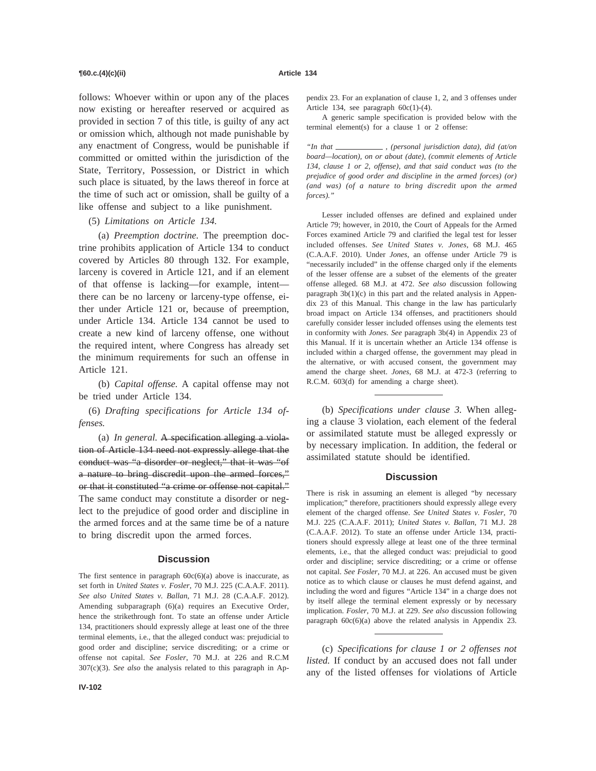#### **¶60.c.(4)(c)(ii) Article 134**

follows: Whoever within or upon any of the places now existing or hereafter reserved or acquired as provided in section 7 of this title, is guilty of any act or omission which, although not made punishable by any enactment of Congress, would be punishable if committed or omitted within the jurisdiction of the State, Territory, Possession, or District in which such place is situated, by the laws thereof in force at the time of such act or omission, shall be guilty of a like offense and subject to a like punishment.

#### (5) *Limitations on Article 134.*

(a) *Preemption doctrine.* The preemption doctrine prohibits application of Article 134 to conduct covered by Articles 80 through 132. For example, larceny is covered in Article 121, and if an element of that offense is lacking—for example, intent there can be no larceny or larceny-type offense, either under Article 121 or, because of preemption, under Article 134. Article 134 cannot be used to create a new kind of larceny offense, one without the required intent, where Congress has already set the minimum requirements for such an offense in Article 121.

(b) *Capital offense.* A capital offense may not be tried under Article 134.

(6) *Drafting specifications for Article 134 offenses.*

(a) *In general.* A specification alleging a violation of Article 134 need not expressly allege that the conduct was "a disorder or neglect," that it was "of a nature to bring discredit upon the armed forces," or that it constituted "a crime or offense not capital." The same conduct may constitute a disorder or neglect to the prejudice of good order and discipline in the armed forces and at the same time be of a nature to bring discredit upon the armed forces.

#### **Discussion**

The first sentence in paragraph  $60c(6)(a)$  above is inaccurate, as set forth in *United States v. Fosler*, 70 M.J. 225 (C.A.A.F. 2011). *See also United States v. Ballan*, 71 M.J. 28 (C.A.A.F. 2012). Amending subparagraph (6)(a) requires an Executive Order, hence the strikethrough font. To state an offense under Article 134, practitioners should expressly allege at least one of the three terminal elements, i.e., that the alleged conduct was: prejudicial to good order and discipline; service discrediting; or a crime or offense not capital. See Fosler, 70 M.J. at 226 and R.C.M 307(c)(3). *See also* the analysis related to this paragraph in Appendix 23. For an explanation of clause 1, 2, and 3 offenses under Article 134, see paragraph 60c(1)-(4).

A generic sample specification is provided below with the terminal element(s) for a clause 1 or 2 offense:

*"In that , (personal jurisdiction data), did (at/on board—location), on or about (date), (commit elements of Article 134, clause 1 or 2, offense), and that said conduct was (to the prejudice of good order and discipline in the armed forces) (or) (and was) (of a nature to bring discredit upon the armed forces)."*

Lesser included offenses are defined and explained under Article 79; however, in 2010, the Court of Appeals for the Armed Forces examined Article 79 and clarified the legal test for lesser included offenses. See United States v. Jones, 68 M.J. 465 (C.A.A.F. 2010). Under *Jones*, an offense under Article 79 is "necessarily included" in the offense charged only if the elements of the lesser offense are a subset of the elements of the greater offense alleged. 68 M.J. at 472. *See also* discussion following paragraph 3b(1)(c) in this part and the related analysis in Appendix 23 of this Manual. This change in the law has particularly broad impact on Article 134 offenses, and practitioners should carefully consider lesser included offenses using the elements test in conformity with *Jones*. *See* paragraph 3b(4) in Appendix 23 of this Manual. If it is uncertain whether an Article 134 offense is included within a charged offense, the government may plead in the alternative, or with accused consent, the government may amend the charge sheet. *Jones*, 68 M.J. at 472-3 (referring to R.C.M. 603(d) for amending a charge sheet).

(b) *Specifications under clause 3.* When alleging a clause 3 violation, each element of the federal or assimilated statute must be alleged expressly or by necessary implication. In addition, the federal or assimilated statute should be identified.

#### **Discussion**

There is risk in assuming an element is alleged "by necessary implication;" therefore, practitioners should expressly allege every element of the charged offense. *See United States v. Fosler*, 70 M.J. 225 (C.A.A.F. 2011); *United States v. Ballan*, 71 M.J. 28 (C.A.A.F. 2012). To state an offense under Article 134, practitioners should expressly allege at least one of the three terminal elements, i.e., that the alleged conduct was: prejudicial to good order and discipline; service discrediting; or a crime or offense not capital. *See Fosler*, 70 M.J. at 226. An accused must be given notice as to which clause or clauses he must defend against, and including the word and figures "Article 134" in a charge does not by itself allege the terminal element expressly or by necessary implication. *Fosler*, 70 M.J. at 229. *See also* discussion following paragraph 60c(6)(a) above the related analysis in Appendix 23.

(c) *Specifications for clause 1 or 2 offenses not listed.* If conduct by an accused does not fall under any of the listed offenses for violations of Article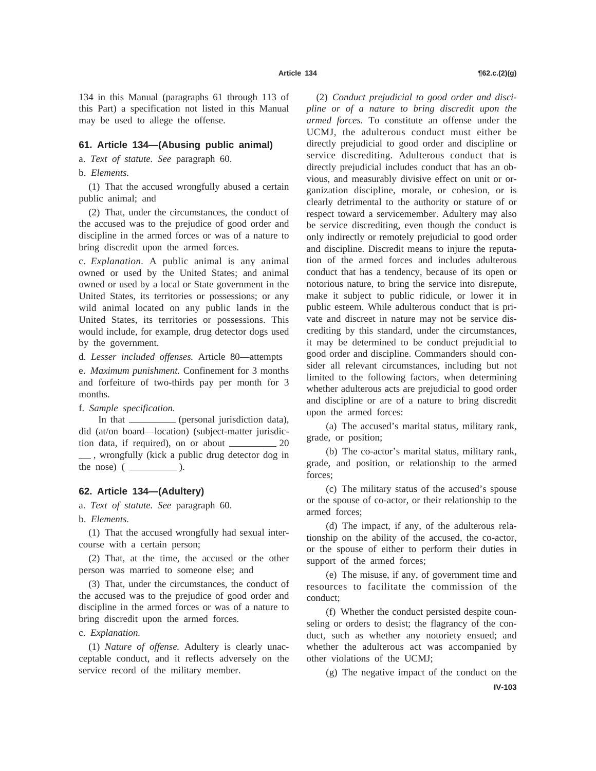134 in this Manual (paragraphs 61 through 113 of this Part) a specification not listed in this Manual may be used to allege the offense.

## **61. Article 134—(Abusing public animal)**

a. *Text of statute. See* paragraph 60.

b. *Elements.*

(1) That the accused wrongfully abused a certain public animal; and

(2) That, under the circumstances, the conduct of the accused was to the prejudice of good order and discipline in the armed forces or was of a nature to bring discredit upon the armed forces.

c. *Explanation*. A public animal is any animal owned or used by the United States; and animal owned or used by a local or State government in the United States, its territories or possessions; or any wild animal located on any public lands in the United States, its territories or possessions. This would include, for example, drug detector dogs used by the government.

d. *Lesser included offenses.* Article 80—attempts

e. *Maximum punishment.* Confinement for 3 months and forfeiture of two-thirds pay per month for 3 months.

f. *Sample specification.* 

In that <u>entitled</u> (personal jurisdiction data), did (at/on board—location) (subject-matter jurisdiction data, if required), on or about \_\_\_\_\_\_\_\_\_\_\_\_ 20 , wrongfully (kick a public drug detector dog in the nose)  $($ 

## **62. Article 134—(Adultery)**

a. *Text of statute. See* paragraph 60.

b. *Elements.*

(1) That the accused wrongfully had sexual intercourse with a certain person;

(2) That, at the time, the accused or the other person was married to someone else; and

(3) That, under the circumstances, the conduct of the accused was to the prejudice of good order and discipline in the armed forces or was of a nature to bring discredit upon the armed forces.

c. *Explanation.*

(1) *Nature of offense.* Adultery is clearly unacceptable conduct, and it reflects adversely on the service record of the military member.

(2) *Conduct prejudicial to good order and discipline or of a nature to bring discredit upon the armed forces.* To constitute an offense under the UCMJ, the adulterous conduct must either be directly prejudicial to good order and discipline or service discrediting. Adulterous conduct that is directly prejudicial includes conduct that has an obvious, and measurably divisive effect on unit or organization discipline, morale, or cohesion, or is clearly detrimental to the authority or stature of or respect toward a servicemember. Adultery may also be service discrediting, even though the conduct is only indirectly or remotely prejudicial to good order and discipline. Discredit means to injure the reputation of the armed forces and includes adulterous conduct that has a tendency, because of its open or notorious nature, to bring the service into disrepute, make it subject to public ridicule, or lower it in public esteem. While adulterous conduct that is private and discreet in nature may not be service discrediting by this standard, under the circumstances, it may be determined to be conduct prejudicial to good order and discipline. Commanders should consider all relevant circumstances, including but not limited to the following factors, when determining whether adulterous acts are prejudicial to good order and discipline or are of a nature to bring discredit upon the armed forces:

(a) The accused's marital status, military rank, grade, or position;

(b) The co-actor's marital status, military rank, grade, and position, or relationship to the armed forces;

(c) The military status of the accused's spouse or the spouse of co-actor, or their relationship to the armed forces;

(d) The impact, if any, of the adulterous relationship on the ability of the accused, the co-actor, or the spouse of either to perform their duties in support of the armed forces;

(e) The misuse, if any, of government time and resources to facilitate the commission of the conduct;

(f) Whether the conduct persisted despite counseling or orders to desist; the flagrancy of the conduct, such as whether any notoriety ensued; and whether the adulterous act was accompanied by other violations of the UCMJ;

(g) The negative impact of the conduct on the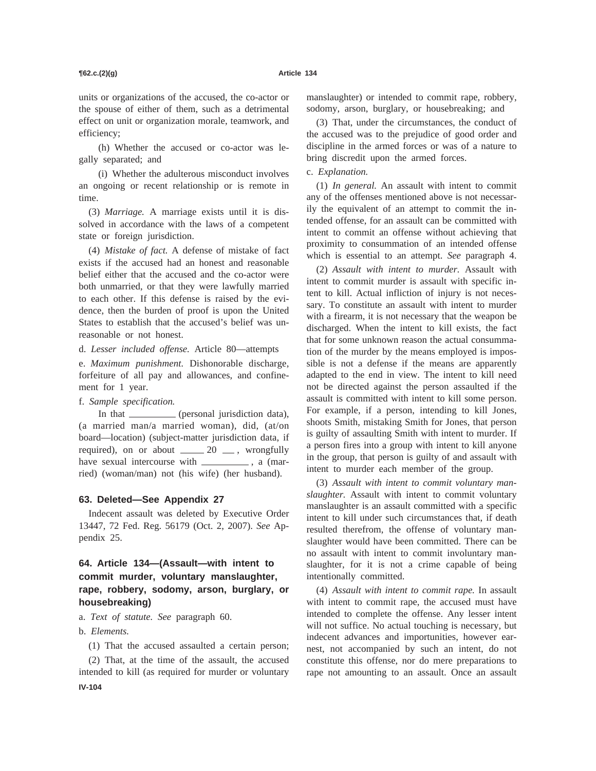units or organizations of the accused, the co-actor or the spouse of either of them, such as a detrimental effect on unit or organization morale, teamwork, and efficiency;

(h) Whether the accused or co-actor was legally separated; and

(i) Whether the adulterous misconduct involves an ongoing or recent relationship or is remote in time.

(3) *Marriage.* A marriage exists until it is dissolved in accordance with the laws of a competent state or foreign jurisdiction.

(4) *Mistake of fact.* A defense of mistake of fact exists if the accused had an honest and reasonable belief either that the accused and the co-actor were both unmarried, or that they were lawfully married to each other. If this defense is raised by the evidence, then the burden of proof is upon the United States to establish that the accused's belief was unreasonable or not honest.

d. *Lesser included offense.* Article 80—attempts

e. *Maximum punishment*. Dishonorable discharge, forfeiture of all pay and allowances, and confinement for 1 year.

f. *Sample specification.* 

In that <u>entitled</u> (personal jurisdiction data), (a married man/a married woman), did,  $(at/\text{on})$ board—location) (subject-matter jurisdiction data, if required), on or about  $\_\_\_\_$  20  $\_\_\_\$ , wrongfully have sexual intercourse with \_\_\_\_\_\_\_\_\_\_\_\_, a (married) (woman/man) not (his wife) (her husband).

#### **63. Deleted—See Appendix 27**

Indecent assault was deleted by Executive Order 13447, 72 Fed. Reg. 56179 (Oct. 2, 2007). *See* Appendix 25.

# **64. Article 134—(Assault—with intent to commit murder, voluntary manslaughter, rape, robbery, sodomy, arson, burglary, or housebreaking)**

a. *Text of statute. See* paragraph 60.

b. *Elements.*

(1) That the accused assaulted a certain person;

(2) That, at the time of the assault, the accused intended to kill (as required for murder or voluntary **IV-104**

manslaughter) or intended to commit rape, robbery, sodomy, arson, burglary, or housebreaking; and

(3) That, under the circumstances, the conduct of the accused was to the prejudice of good order and discipline in the armed forces or was of a nature to bring discredit upon the armed forces.

## c. *Explanation.*

(1) *In general.* An assault with intent to commit any of the offenses mentioned above is not necessarily the equivalent of an attempt to commit the intended offense, for an assault can be committed with intent to commit an offense without achieving that proximity to consummation of an intended offense which is essential to an attempt. *See* paragraph 4.

(2) *Assault with intent to murder.* Assault with intent to commit murder is assault with specific intent to kill. Actual infliction of injury is not necessary. To constitute an assault with intent to murder with a firearm, it is not necessary that the weapon be discharged. When the intent to kill exists, the fact that for some unknown reason the actual consummation of the murder by the means employed is impossible is not a defense if the means are apparently adapted to the end in view. The intent to kill need not be directed against the person assaulted if the assault is committed with intent to kill some person. For example, if a person, intending to kill Jones, shoots Smith, mistaking Smith for Jones, that person is guilty of assaulting Smith with intent to murder. If a person fires into a group with intent to kill anyone in the group, that person is guilty of and assault with intent to murder each member of the group.

(3) *Assault with intent to commit voluntary manslaughter.* Assault with intent to commit voluntary manslaughter is an assault committed with a specific intent to kill under such circumstances that, if death resulted therefrom, the offense of voluntary manslaughter would have been committed. There can be no assault with intent to commit involuntary manslaughter, for it is not a crime capable of being intentionally committed.

(4) *Assault with intent to commit rape.* In assault with intent to commit rape, the accused must have intended to complete the offense. Any lesser intent will not suffice. No actual touching is necessary, but indecent advances and importunities, however earnest, not accompanied by such an intent, do not constitute this offense, nor do mere preparations to rape not amounting to an assault. Once an assault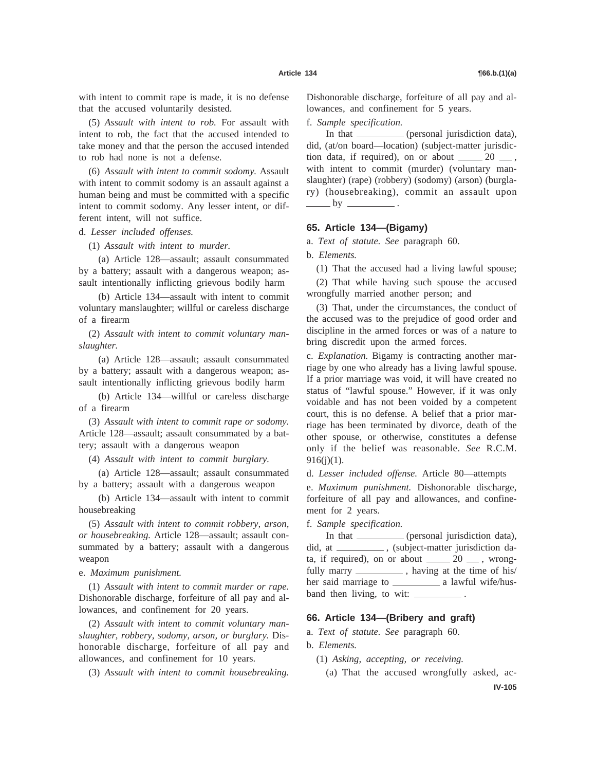with intent to commit rape is made, it is no defense that the accused voluntarily desisted.

(5) *Assault with intent to rob.* For assault with intent to rob, the fact that the accused intended to take money and that the person the accused intended to rob had none is not a defense.

(6) *Assault with intent to commit sodomy.* Assault with intent to commit sodomy is an assault against a human being and must be committed with a specific intent to commit sodomy. Any lesser intent, or different intent, will not suffice.

d. *Lesser included offenses.* 

(1) *Assault with intent to murder.* 

(a) Article 128—assault; assault consummated by a battery; assault with a dangerous weapon; assault intentionally inflicting grievous bodily harm

(b) Article 134—assault with intent to commit voluntary manslaughter; willful or careless discharge of a firearm

(2) *Assault with intent to commit voluntary manslaughter.*

(a) Article 128—assault; assault consummated by a battery; assault with a dangerous weapon; assault intentionally inflicting grievous bodily harm

(b) Article 134—willful or careless discharge of a firearm

(3) *Assault with intent to commit rape or sodomy.*  Article 128—assault; assault consummated by a battery; assault with a dangerous weapon

(4) *Assault with intent to commit burglary.* 

(a) Article 128—assault; assault consummated by a battery; assault with a dangerous weapon

(b) Article 134—assault with intent to commit housebreaking

(5) *Assault with intent to commit robbery, arson, or housebreaking.* Article 128—assault; assault consummated by a battery; assault with a dangerous weapon

e. *Maximum punishment.* 

(1) *Assault with intent to commit murder or rape.*  Dishonorable discharge, forfeiture of all pay and allowances, and confinement for 20 years.

(2) *Assault with intent to commit voluntary manslaughter, robbery, sodomy, arson, or burglary.* Dishonorable discharge, forfeiture of all pay and allowances, and confinement for 10 years.

(3) *Assault with intent to commit housebreaking.* 

Dishonorable discharge, forfeiture of all pay and allowances, and confinement for 5 years.

f. *Sample specification.* 

In that (personal jurisdiction data), did, (at/on board—location) (subject-matter jurisdiction data, if required), on or about  $\_\_\_\_$  20  $\_\_\$ . with intent to commit (murder) (voluntary manslaughter) (rape) (robbery) (sodomy) (arson) (burglary) (housebreaking), commit an assault upon  $_{\rm{-}}$  by  $_{\rm{-}}$ 

## **65. Article 134—(Bigamy)**

a. *Text of statute. See* paragraph 60.

b. *Elements.*

(1) That the accused had a living lawful spouse;

(2) That while having such spouse the accused wrongfully married another person; and

(3) That, under the circumstances, the conduct of the accused was to the prejudice of good order and discipline in the armed forces or was of a nature to bring discredit upon the armed forces.

c. *Explanation.* Bigamy is contracting another marriage by one who already has a living lawful spouse. If a prior marriage was void, it will have created no status of "lawful spouse." However, if it was only voidable and has not been voided by a competent court, this is no defense. A belief that a prior marriage has been terminated by divorce, death of the other spouse, or otherwise, constitutes a defense only if the belief was reasonable. See R.C.M. 916(j)(1).

d. *Lesser included offense.* Article 80—attempts

e. *Maximum punishment*. Dishonorable discharge, forfeiture of all pay and allowances, and confinement for 2 years.

f. *Sample specification.* 

In that (personal jurisdiction data), did, at \_\_\_\_\_\_\_\_\_\_\_\_, (subject-matter jurisdiction data, if required), on or about  $\_\_\_\_$  20  $\_\_\_\$ , wrongfully marry \_\_\_\_\_\_\_\_\_\_\_, having at the time of his/ her said marriage to \_\_\_\_\_\_\_\_\_\_ a lawful wife/husband then living, to wit: \_\_\_\_\_\_\_\_\_\_\_.

## **66. Article 134—(Bribery and graft)**

a. *Text of statute. See* paragraph 60.

b. *Elements.*

(1) *Asking, accepting, or receiving.* 

(a) That the accused wrongfully asked, ac-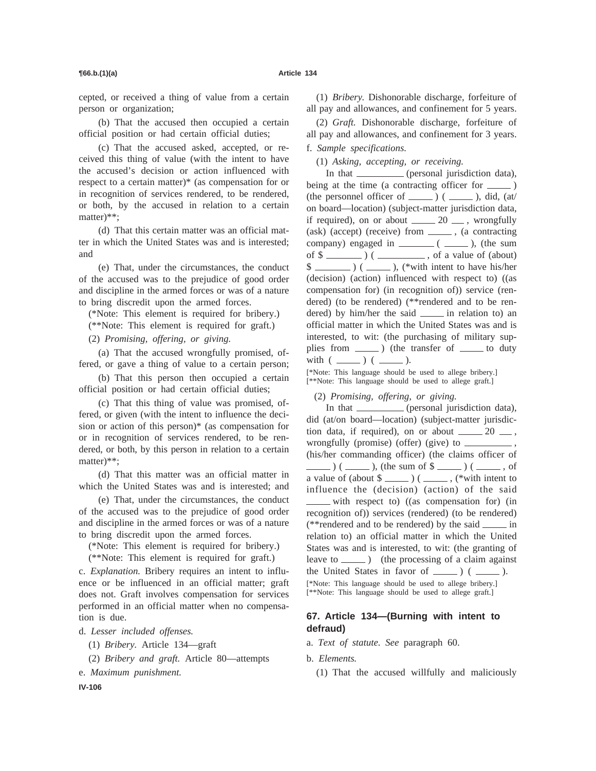#### $\P(66.b.(1)(a)$  Article 134

cepted, or received a thing of value from a certain person or organization;

(b) That the accused then occupied a certain official position or had certain official duties;

(c) That the accused asked, accepted, or received this thing of value (with the intent to have the accused's decision or action influenced with respect to a certain matter)\* (as compensation for or in recognition of services rendered, to be rendered, or both, by the accused in relation to a certain matter)\*\*;

(d) That this certain matter was an official matter in which the United States was and is interested; and

(e) That, under the circumstances, the conduct of the accused was to the prejudice of good order and discipline in the armed forces or was of a nature to bring discredit upon the armed forces.

(\*Note: This element is required for bribery.)

(\*\*Note: This element is required for graft.)

(2) *Promising, offering, or giving.* 

(a) That the accused wrongfully promised, offered, or gave a thing of value to a certain person;

(b) That this person then occupied a certain official position or had certain official duties;

(c) That this thing of value was promised, offered, or given (with the intent to influence the decision or action of this person)\* (as compensation for or in recognition of services rendered, to be rendered, or both, by this person in relation to a certain matter)\*\*;

(d) That this matter was an official matter in which the United States was and is interested; and

(e) That, under the circumstances, the conduct of the accused was to the prejudice of good order and discipline in the armed forces or was of a nature to bring discredit upon the armed forces.

(\*Note: This element is required for bribery.) (\*\*Note: This element is required for graft.)

c. *Explanation.* Bribery requires an intent to influence or be influenced in an official matter; graft does not. Graft involves compensation for services performed in an official matter when no compensation is due.

d. *Lesser included offenses.* 

(1) *Bribery.* Article 134—graft

(2) *Bribery and graft.* Article 80—attempts

e. *Maximum punishment.* 

(1) *Bribery.* Dishonorable discharge, forfeiture of all pay and allowances, and confinement for 5 years.

(2) *Graft.* Dishonorable discharge, forfeiture of all pay and allowances, and confinement for 3 years. f. *Sample specifications.* 

(1) *Asking, accepting, or receiving.* 

In that <u>entitled</u> (personal jurisdiction data), being at the time (a contracting officer for  $\_\_\_\_\$ (the personnel officer of  $\_\_\_\_\_$ ) ( $\_\_\_\_\$ ), did, (at/ on board—location) (subject-matter jurisdiction data, if required), on or about  $\_\_\_\_$  20  $\_\_\_$ , wrongfully  $(ask)$  (accept) (receive) from  $\_\_\_\$ , (a contracting company) engaged in  $\_\_\_\_\_\_\_\_\_\$ (the sum of  $\frac{1}{2}$  ( $\frac{1}{2}$ , of a value of (about)  $\frac{1}{2}$  ( ) (  $\frac{1}{2}$  ), (\*with intent to have his/her (decision) (action) influenced with respect to) ((as compensation for) (in recognition of)) service (rendered) (to be rendered) (\*\*rendered and to be rendered) by him/her the said in relation to) an official matter in which the United States was and is interested, to wit: (the purchasing of military supplies from  $\equiv$  (the transfer of  $\equiv$  to duty with  $($   $\_\_)$   $($   $\_\_)$ .

[\*Note: This language should be used to allege bribery.] [\*\*Note: This language should be used to allege graft.]

(2) *Promising, offering, or giving.* 

In that <u>entitled</u> (personal jurisdiction data), did (at/on board—location) (subject-matter jurisdiction data, if required), on or about  $\_\_\_\_$  20  $\_\_\$ wrongfully (promise) (offer) (give) to \_\_\_\_\_\_\_ (his/her commanding officer) (the claims officer of  $\Box$ ) ( $\Box$ ), (the sum of  $\$\underline{\hspace{1cm}}$ ) ( $\Box$ , of a value of (about  $\frac{1}{2}$ ) ( , (\*with intent to in fluence the (decision) (action) of the said with respect to) ((as compensation for) (in recognition of)) services (rendered) (to be rendered)  $(**$ rendered and to be rendered) by the said  $\_\_$ in relation to) an official matter in which the United States was and is interested, to wit: (the granting of leave to  $\equiv$  (the processing of a claim against the United States in favor of  $\_\_\_\_\_\$ ) ( $\_\_\_\_\$ ). [\*Note: This language should be used to allege bribery.] [\*\*Note: This language should be used to allege graft.]

## **67. Article 134—(Burning with intent to defraud)**

a. *Text of statute. See* paragraph 60.

b. *Elements.*

 $(1)$  That the accused willfully and maliciously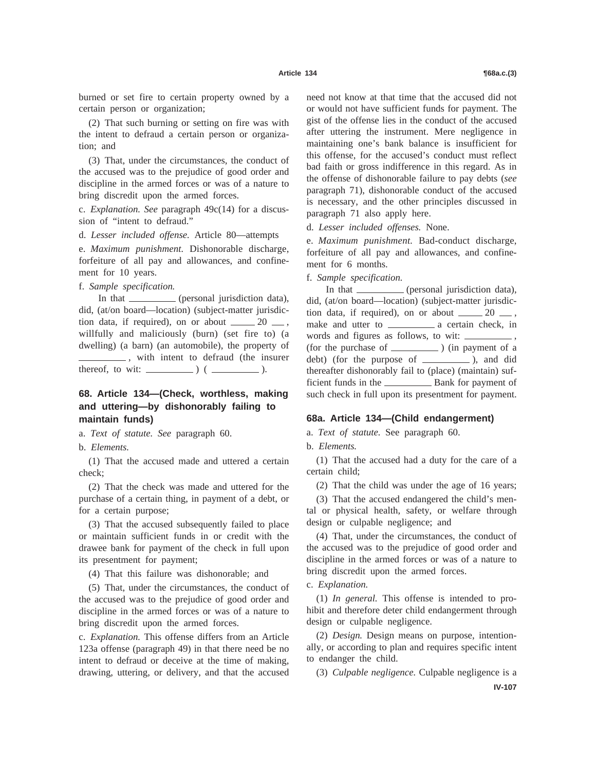burned or set fire to certain property owned by a certain person or organization;

(2) That such burning or setting on fire was with the intent to defraud a certain person or organization; and

(3) That, under the circumstances, the conduct of the accused was to the prejudice of good order and discipline in the armed forces or was of a nature to bring discredit upon the armed forces.

c. *Explanation. See* paragraph 49c(14) for a discussion of "intent to defraud."

d. *Lesser included offense.* Article 80—attempts

e. *Maximum punishment*. Dishonorable discharge, forfeiture of all pay and allowances, and confinement for 10 years.

f. *Sample specification.* 

In that (personal jurisdiction data), did, (at/on board—location) (subject-matter jurisdiction data, if required), on or about  $\_\_\_\_$  20  $\_\_\$ will fully and maliciously (burn) (set fire to) (a dwelling) (a barn) (an automobile), the property of with intent to defraud (the insurer thereof, to wit:  $\qquad \qquad$  ( $\qquad$ ).

# **68. Article 134—(Check, worthless, making and uttering—by dishonorably failing to maintain funds)**

a. *Text of statute. See* paragraph 60.

b. *Elements.*

(1) That the accused made and uttered a certain check;

(2) That the check was made and uttered for the purchase of a certain thing, in payment of a debt, or for a certain purpose;

(3) That the accused subsequently failed to place or maintain sufficient funds in or credit with the drawee bank for payment of the check in full upon its presentment for payment;

(4) That this failure was dishonorable; and

(5) That, under the circumstances, the conduct of the accused was to the prejudice of good order and discipline in the armed forces or was of a nature to bring discredit upon the armed forces.

c. *Explanation.* This offense differs from an Article 123a offense (paragraph 49) in that there need be no intent to defraud or deceive at the time of making, drawing, uttering, or delivery, and that the accused need not know at that time that the accused did not or would not have sufficient funds for payment. The gist of the offense lies in the conduct of the accused after uttering the instrument. Mere negligence in maintaining one's bank balance is insufficient for this offense, for the accused's conduct must reflect bad faith or gross indifference in this regard. As in the offense of dishonorable failure to pay debts (*see* paragraph 71), dishonorable conduct of the accused is necessary, and the other principles discussed in paragraph 71 also apply here.

d. *Lesser included offenses.* None.

e. *Maximum punishment*. Bad-conduct discharge, forfeiture of all pay and allowances, and confinement for 6 months.

f. *Sample specification.* 

In that (personal jurisdiction data), did, (at/on board—location) (subject-matter jurisdiction data, if required), on or about  $\_\_\_\_$  20  $\_\_\$ make and utter to \_\_\_\_\_\_\_\_\_\_\_\_ a certain check, in words and figures as follows, to wit: \_\_\_\_\_\_\_\_\_\_, (for the purchase of  $\qquad$ ) (in payment of a  $debt)$  (for the purpose of  $\overline{\hspace{1cm}}$ ), and did thereafter dishonorably fail to (place) (maintain) sufficient funds in the Bank for payment of such check in full upon its presentment for payment.

## **68a. Article 134—(Child endangerment)**

a. *Text of statute.* See paragraph 60.

b. *Elements.*

(1) That the accused had a duty for the care of a certain child;

(2) That the child was under the age of 16 years;

(3) That the accused endangered the child's mental or physical health, safety, or welfare through design or culpable negligence; and

(4) That, under the circumstances, the conduct of the accused was to the prejudice of good order and discipline in the armed forces or was of a nature to bring discredit upon the armed forces.

## c. *Explanation.*

(1) *In general.* This offense is intended to prohibit and therefore deter child endangerment through design or culpable negligence.

(2) *Design.* Design means on purpose, intentionally, or according to plan and requires specific intent to endanger the child.

(3) *Culpable negligence.* Culpable negligence is a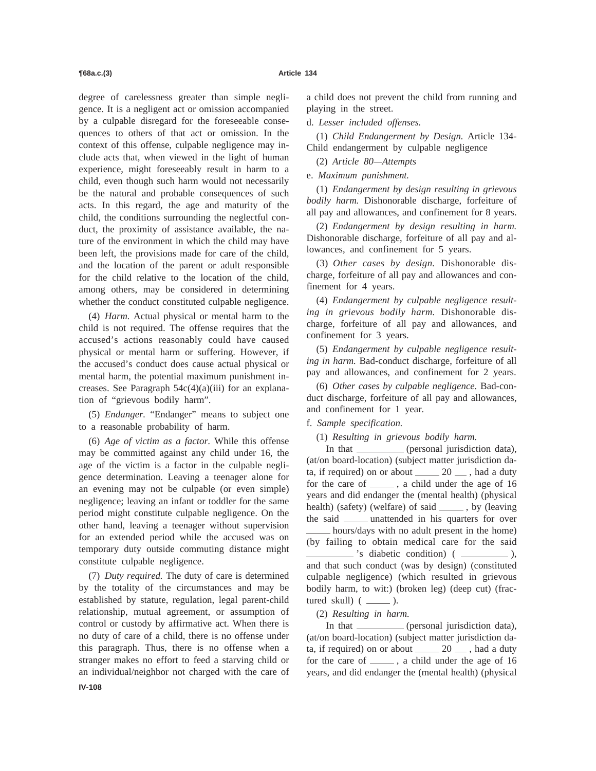degree of carelessness greater than simple negligence. It is a negligent act or omission accompanied by a culpable disregard for the foreseeable consequences to others of that act or omission. In the context of this offense, culpable negligence may include acts that, when viewed in the light of human experience, might foreseeably result in harm to a child, even though such harm would not necessarily be the natural and probable consequences of such acts. In this regard, the age and maturity of the child, the conditions surrounding the neglectful conduct, the proximity of assistance available, the nature of the environment in which the child may have been left, the provisions made for care of the child, and the location of the parent or adult responsible for the child relative to the location of the child, among others, may be considered in determining whether the conduct constituted culpable negligence.

(4) *Harm.* Actual physical or mental harm to the child is not required. The offense requires that the accused's actions reasonably could have caused physical or mental harm or suffering. However, if the accused's conduct does cause actual physical or mental harm, the potential maximum punishment increases. See Paragraph  $54c(4)(a)(iii)$  for an explanation of "grievous bodily harm".

(5) *Endanger.* "Endanger" means to subject one to a reasonable probability of harm.

(6) *Age of victim as a factor.* While this offense may be committed against any child under 16, the age of the victim is a factor in the culpable negligence determination. Leaving a teenager alone for an evening may not be culpable (or even simple) negligence; leaving an infant or toddler for the same period might constitute culpable negligence. On the other hand, leaving a teenager without supervision for an extended period while the accused was on temporary duty outside commuting distance might constitute culpable negligence.

(7) *Duty required.* The duty of care is determined by the totality of the circumstances and may be established by statute, regulation, legal parent-child relationship, mutual agreement, or assumption of control or custody by affirmative act. When there is no duty of care of a child, there is no offense under this paragraph. Thus, there is no offense when a stranger makes no effort to feed a starving child or an individual/neighbor not charged with the care of a child does not prevent the child from running and playing in the street.

d. *Lesser included offenses.* 

(1) *Child Endangerment by Design.* Article 134- Child endangerment by culpable negligence

(2) *Article 80—Attempts* 

e. *Maximum punishment.* 

(1) *Endangerment by design resulting in grievous bodily harm.* Dishonorable discharge, forfeiture of all pay and allowances, and confinement for 8 years.

(2) *Endangerment by design resulting in harm.*  Dishonorable discharge, forfeiture of all pay and allowances, and confinement for 5 years.

(3) Other cases by design. Dishonorable discharge, forfeiture of all pay and allowances and confinement for 4 years.

(4) *Endangerment by culpable negligence resulting in grievous bodily harm.* Dishonorable discharge, forfeiture of all pay and allowances, and confinement for 3 years.

(5) *Endangerment by culpable negligence resulting in harm.* Bad-conduct discharge, forfeiture of all pay and allowances, and confinement for 2 years.

(6) *Other cases by culpable negligence.* Bad-conduct discharge, forfeiture of all pay and allowances, and confinement for 1 year.

f. *Sample specification.* 

(1) *Resulting in grievous bodily harm.* 

In that (personal jurisdiction data), (at/on board-location) (subject matter jurisdiction data, if required) on or about  $\_\_\_\_$  20  $\_\_\_\$ , had a duty for the care of  $\frac{1}{\sqrt{1-\frac{1}{\sqrt{1-\frac{1}{\sqrt{1-\frac{1}{\sqrt{1-\frac{1}{\sqrt{1-\frac{1}{\sqrt{1-\frac{1}{\sqrt{1-\frac{1}{\sqrt{1-\frac{1}{\sqrt{1-\frac{1}{\sqrt{1-\frac{1}{\sqrt{1-\frac{1}{\sqrt{1-\frac{1}{\sqrt{1-\frac{1}{\sqrt{1-\frac{1}{\sqrt{1-\frac{1}{\sqrt{1-\frac{1}{\sqrt{1-\frac{1}{\sqrt{1-\frac{1}{\sqrt{1-\frac{1}{\sqrt{1-\frac{1}{\sqrt{1-\frac{1}{\sqrt{1-\frac{1}{\sqrt$ years and did endanger the (mental health) (physical health) (safety) (welfare) of said \_\_\_\_\_\_, by (leaving the said <u>unattended</u> in his quarters for over hours/days with no adult present in the home) (by failing to obtain medical care for the said  $\equiv$  's diabetic condition) ( $\equiv$ ), and that such conduct (was by design) (constituted culpable negligence) (which resulted in grievous bodily harm, to wit:) (broken leg) (deep cut) (fractured skull)  $($   $)$ .

(2) *Resulting in harm.* 

In that \_\_\_\_\_\_\_\_\_\_ (personal jurisdiction data), (at/on board-location) (subject matter jurisdiction data, if required) on or about  $\_\_\_\_$  20  $\_\_\_\$ , had a duty for the care of  $\frac{1}{\sqrt{1-\frac{1}{\sqrt{1-\frac{1}{\sqrt{1-\frac{1}{\sqrt{1-\frac{1}{\sqrt{1-\frac{1}{\sqrt{1-\frac{1}{\sqrt{1-\frac{1}{\sqrt{1-\frac{1}{\sqrt{1-\frac{1}{\sqrt{1-\frac{1}{\sqrt{1-\frac{1}{\sqrt{1-\frac{1}{\sqrt{1-\frac{1}{\sqrt{1-\frac{1}{\sqrt{1-\frac{1}{\sqrt{1-\frac{1}{\sqrt{1-\frac{1}{\sqrt{1-\frac{1}{\sqrt{1-\frac{1}{\sqrt{1-\frac{1}{\sqrt{1-\frac{1}{\sqrt{1-\frac{1}{\sqrt$ years, and did endanger the (mental health) (physical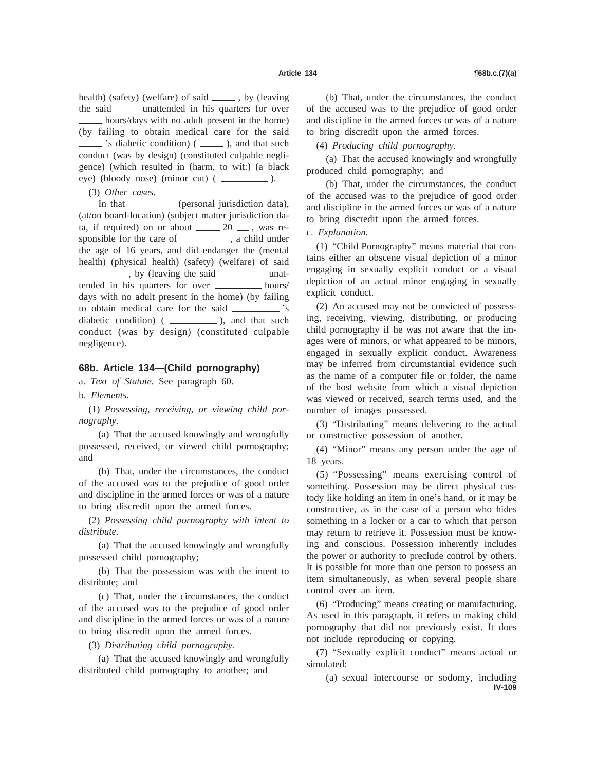health) (safety) (welfare) of said \_\_\_\_\_\_, by (leaving the said <u>unattended</u> in his quarters for over hours/days with no adult present in the home) (by failing to obtain medical care for the said <sup>'</sup>s diabetic condition) (  $\_\_\_\$ ), and that such conduct (was by design) (constituted culpable negligence) (which resulted in (harm, to wit:) (a black eye) (bloody nose) (minor cut) ( ).

(3) *Other cases.* 

In that <u>entitled</u> (personal jurisdiction data), (at/on board-location) (subject matter jurisdiction data, if required) on or about  $\_\_\_\_$  20  $\_\_\_$ , was responsible for the care of \_\_\_\_\_\_\_\_\_\_\_\_\_, a child under the age of 16 years, and did endanger the (mental health) (physical health) (safety) (welfare) of said  $\Box$ , by (leaving the said  $\Box$  unattended in his quarters for over \_\_\_\_\_\_\_\_\_\_ hours/ days with no adult present in the home) (by failing to obtain medical care for the said \_\_\_\_\_\_\_\_\_ 's diabetic condition) ( ), and that such conduct (was by design) (constituted culpable negligence).

#### **68b. Article 134—(Child pornography)**

a. *Text of Statute.* See paragraph 60.

b. *Elements.*

(1) *Possessing, receiving, or viewing child pornography.*

(a) That the accused knowingly and wrongfully possessed, received, or viewed child pornography; and

(b) That, under the circumstances, the conduct of the accused was to the prejudice of good order and discipline in the armed forces or was of a nature to bring discredit upon the armed forces.

(2) *Possessing child pornography with intent to distribute.*

(a) That the accused knowingly and wrongfully possessed child pornography;

(b) That the possession was with the intent to distribute; and

(c) That, under the circumstances, the conduct of the accused was to the prejudice of good order and discipline in the armed forces or was of a nature to bring discredit upon the armed forces.

(3) *Distributing child pornography.* 

(a) That the accused knowingly and wrongfully distributed child pornography to another; and

(b) That, under the circumstances, the conduct of the accused was to the prejudice of good order and discipline in the armed forces or was of a nature to bring discredit upon the armed forces.

(4) *Producing child pornography.* 

(a) That the accused knowingly and wrongfully produced child pornography; and

(b) That, under the circumstances, the conduct of the accused was to the prejudice of good order and discipline in the armed forces or was of a nature to bring discredit upon the armed forces.

c. *Explanation.*

(1) "Child Pornography" means material that contains either an obscene visual depiction of a minor engaging in sexually explicit conduct or a visual depiction of an actual minor engaging in sexually explicit conduct.

(2) An accused may not be convicted of possessing, receiving, viewing, distributing, or producing child pornography if he was not aware that the images were of minors, or what appeared to be minors, engaged in sexually explicit conduct. Awareness may be inferred from circumstantial evidence such as the name of a computer file or folder, the name of the host website from which a visual depiction was viewed or received, search terms used, and the number of images possessed.

(3) "Distributing" means delivering to the actual or constructive possession of another.

(4) "Minor" means any person under the age of 18 years.

 $(5)$  "Possessing" means exercising control of something. Possession may be direct physical custody like holding an item in one's hand, or it may be constructive, as in the case of a person who hides something in a locker or a car to which that person may return to retrieve it. Possession must be knowing and conscious. Possession inherently includes the power or authority to preclude control by others. It is possible for more than one person to possess an item simultaneously, as when several people share control over an item.

(6) "Producing" means creating or manufacturing. As used in this paragraph, it refers to making child pornography that did not previously exist. It does not include reproducing or copying.

(7) "Sexually explicit conduct" means actual or simulated:

(a) sexual intercourse or sodomy, including **IV-109**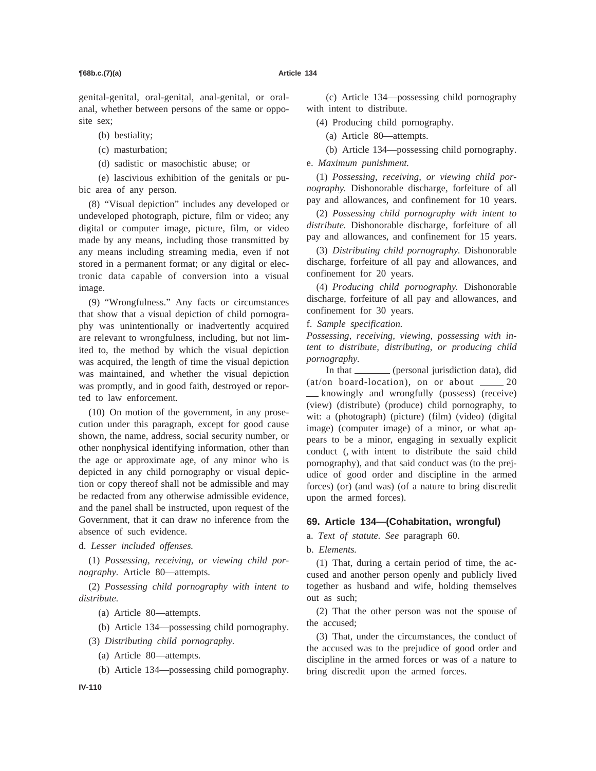genital-genital, oral-genital, anal-genital, or oralanal, whether between persons of the same or opposite sex;

- (b) bestiality;
- (c) masturbation;
- (d) sadistic or masochistic abuse; or

(e) lascivious exhibition of the genitals or pubic area of any person.

(8) "Visual depiction" includes any developed or undeveloped photograph, picture, film or video; any digital or computer image, picture, film, or video made by any means, including those transmitted by any means including streaming media, even if not stored in a permanent format; or any digital or electronic data capable of conversion into a visual image.

(9) "Wrongfulness." Any facts or circumstances that show that a visual depiction of child pornography was unintentionally or inadvertently acquired are relevant to wrongfulness, including, but not limited to, the method by which the visual depiction was acquired, the length of time the visual depiction was maintained, and whether the visual depiction was promptly, and in good faith, destroyed or reported to law enforcement.

(10) On motion of the government, in any prosecution under this paragraph, except for good cause shown, the name, address, social security number, or other nonphysical identifying information, other than the age or approximate age, of any minor who is depicted in any child pornography or visual depiction or copy thereof shall not be admissible and may be redacted from any otherwise admissible evidence, and the panel shall be instructed, upon request of the Government, that it can draw no inference from the absence of such evidence.

d. *Lesser included offenses.* 

(1) *Possessing, receiving, or viewing child pornography.* Article 80—attempts.

(2) *Possessing child pornography with intent to distribute.*

(a) Article 80—attempts.

(b) Article 134—possessing child pornography.

- (3) *Distributing child pornography.* 
	- (a) Article 80—attempts.
	- (b) Article 134—possessing child pornography.

(c) Article 134—possessing child pornography with intent to distribute.

- (4) Producing child pornography.
	- (a) Article 80—attempts.
	- (b) Article 134—possessing child pornography.
- e. *Maximum punishment.*

(1) *Possessing, receiving, or viewing child pornography.* Dishonorable discharge, forfeiture of all pay and allowances, and confinement for 10 years.

(2) *Possessing child pornography with intent to distribute.* Dishonorable discharge, forfeiture of all pay and allowances, and confinement for 15 years.

(3) *Distributing child pornography.* Dishonorable discharge, forfeiture of all pay and allowances, and confinement for 20 years.

(4) *Producing child pornography*. Dishonorable discharge, forfeiture of all pay and allowances, and confinement for 30 years.

### f. *Sample specification.*

*Possessing, receiving, viewing, possessing with intent to distribute, distributing, or producing child pornography.* 

In that (personal jurisdiction data), did  $(at/on<sub>to</sub> to a red-location)$ , on or about  $\_\_\_\_$  20 \_ knowingly and wrongfully (possess) (receive) (view) (distribute) (produce) child pornography, to wit: a (photograph) (picture) (film) (video) (digital image) (computer image) of a minor, or what appears to be a minor, engaging in sexually explicit conduct (, with intent to distribute the said child pornography), and that said conduct was (to the prejudice of good order and discipline in the armed forces) (or) (and was) (of a nature to bring discredit upon the armed forces).

## **69. Article 134—(Cohabitation, wrongful)**

a. *Text of statute. See* paragraph 60.

b. *Elements.*

(1) That, during a certain period of time, the accused and another person openly and publicly lived together as husband and wife, holding themselves out as such;

(2) That the other person was not the spouse of the accused;

(3) That, under the circumstances, the conduct of the accused was to the prejudice of good order and discipline in the armed forces or was of a nature to bring discredit upon the armed forces.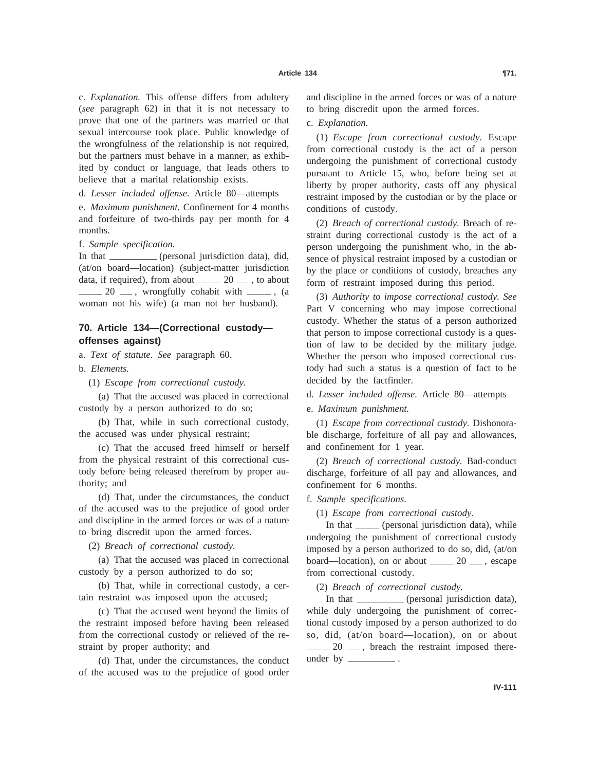c. *Explanation.* This offense differs from adultery (*see* paragraph 62) in that it is not necessary to prove that one of the partners was married or that sexual intercourse took place. Public knowledge of the wrongfulness of the relationship is not required, but the partners must behave in a manner, as exhibited by conduct or language, that leads others to believe that a marital relationship exists.

d. *Lesser included offense.* Article 80—attempts

e. *Maximum punishment.* Confinement for 4 months and forfeiture of two-thirds pay per month for 4 months.

f. *Sample specification.* 

In that \_\_\_\_\_\_\_\_\_\_ (personal jurisdiction data), did, (at/on board—location) (subject-matter jurisdiction data, if required), from about  $\_\_\_\_$  20  $\_\_\_\$ , to about  $20$  , wrongfully cohabit with  $\frac{1}{\sqrt{2}}$ , (a woman not his wife) (a man not her husband).

# **70. Article 134—(Correctional custody offenses against)**

a. *Text of statute. See* paragraph 60.

b. *Elements.*

(1) *Escape from correctional custody.* 

(a) That the accused was placed in correctional custody by a person authorized to do so;

(b) That, while in such correctional custody, the accused was under physical restraint;

(c) That the accused freed himself or herself from the physical restraint of this correctional custody before being released therefrom by proper authority; and

(d) That, under the circumstances, the conduct of the accused was to the prejudice of good order and discipline in the armed forces or was of a nature to bring discredit upon the armed forces.

(2) *Breach of correctional custody.* 

(a) That the accused was placed in correctional custody by a person authorized to do so;

(b) That, while in correctional custody, a certain restraint was imposed upon the accused;

(c) That the accused went beyond the limits of the restraint imposed before having been released from the correctional custody or relieved of the restraint by proper authority; and

(d) That, under the circumstances, the conduct of the accused was to the prejudice of good order and discipline in the armed forces or was of a nature to bring discredit upon the armed forces.

c. *Explanation.*

(1) *Escape from correctional custody*. Escape from correctional custody is the act of a person undergoing the punishment of correctional custody pursuant to Article 15, who, before being set at liberty by proper authority, casts off any physical restraint imposed by the custodian or by the place or conditions of custody.

(2) *Breach of correctional custody.* Breach of restraint during correctional custody is the act of a person undergoing the punishment who, in the absence of physical restraint imposed by a custodian or by the place or conditions of custody, breaches any form of restraint imposed during this period.

(3) *Authority to impose correctional custody. See*  Part V concerning who may impose correctional custody. Whether the status of a person authorized that person to impose correctional custody is a question of law to be decided by the military judge. Whether the person who imposed correctional custody had such a status is a question of fact to be decided by the factfinder.

d. *Lesser included offense.* Article 80—attempts

e. *Maximum punishment.* 

(1) *Escape from correctional custody.* Dishonorable discharge, forfeiture of all pay and allowances, and confinement for 1 year.

(2) *Breach of correctional custody.* Bad-conduct discharge, forfeiture of all pay and allowances, and confinement for 6 months.

f. *Sample specifications.* 

(1) *Escape from correctional custody.* 

In that \_\_\_\_\_\_ (personal jurisdiction data), while undergoing the punishment of correctional custody imposed by a person authorized to do so, did, (at/on board—location), on or about \_\_\_\_\_ 20 \_\_\_ , escape from correctional custody.

(2) *Breach of correctional custody.* 

In that (personal jurisdiction data), while duly undergoing the punishment of correctional custody imposed by a person authorized to do so, did, (at/on board—location), on or about 20 <sub>-</sub> breach the restraint imposed thereunder by \_\_\_\_\_\_\_\_\_\_\_\_\_\_.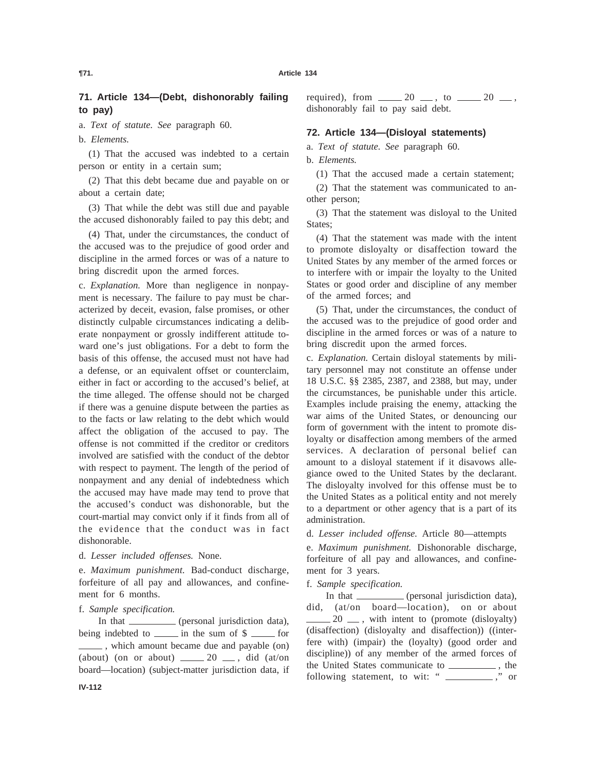# **71. Article 134—(Debt, dishonorably failing to pay)**

a. *Text of statute. See* paragraph 60.

b. *Elements.*

(1) That the accused was indebted to a certain person or entity in a certain sum;

(2) That this debt became due and payable on or about a certain date;

(3) That while the debt was still due and payable the accused dishonorably failed to pay this debt; and

(4) That, under the circumstances, the conduct of the accused was to the prejudice of good order and discipline in the armed forces or was of a nature to bring discredit upon the armed forces.

c. *Explanation.* More than negligence in nonpayment is necessary. The failure to pay must be characterized by deceit, evasion, false promises, or other distinctly culpable circumstances indicating a deliberate nonpayment or grossly indifferent attitude toward one's just obligations. For a debt to form the basis of this offense, the accused must not have had a defense, or an equivalent offset or counterclaim, either in fact or according to the accused's belief, at the time alleged. The offense should not be charged if there was a genuine dispute between the parties as to the facts or law relating to the debt which would affect the obligation of the accused to pay. The offense is not committed if the creditor or creditors involved are satisfied with the conduct of the debtor with respect to payment. The length of the period of nonpayment and any denial of indebtedness which the accused may have made may tend to prove that the accused's conduct was dishonorable, but the court-martial may convict only if it finds from all of the evidence that the conduct was in fact dishonorable.

d. *Lesser included offenses.* None.

e. *Maximum punishment*. Bad-conduct discharge, forfeiture of all pay and allowances, and confinement for 6 months.

f. *Sample specification.* 

In that (personal jurisdiction data), being indebted to  $\frac{1}{\sqrt{2}}$  in the sum of \$  $\frac{1}{\sqrt{2}}$  for which amount became due and payable (on) (about) (on or about)  $\_\_\_\_$  20  $\_\_\_\$ , did (at/on board—location) (subject-matter jurisdiction data, if required), from  $\frac{1}{20}$  , to  $\frac{1}{20}$  , dishonorably fail to pay said debt.

## **72. Article 134—(Disloyal statements)**

a. *Text of statute. See* paragraph 60.

b. *Elements.*

(1) That the accused made a certain statement;

(2) That the statement was communicated to another person;

(3) That the statement was disloyal to the United States;

(4) That the statement was made with the intent to promote disloyalty or disaffection toward the United States by any member of the armed forces or to interfere with or impair the loyalty to the United States or good order and discipline of any member of the armed forces; and

(5) That, under the circumstances, the conduct of the accused was to the prejudice of good order and discipline in the armed forces or was of a nature to bring discredit upon the armed forces.

c. *Explanation.* Certain disloyal statements by military personnel may not constitute an offense under 18 U.S.C. §§ 2385, 2387, and 2388, but may, under the circumstances, be punishable under this article. Examples include praising the enemy, attacking the war aims of the United States, or denouncing our form of government with the intent to promote disloyalty or disaffection among members of the armed services. A declaration of personal belief can amount to a disloyal statement if it disavows allegiance owed to the United States by the declarant. The disloyalty involved for this offense must be to the United States as a political entity and not merely to a department or other agency that is a part of its administration.

d. *Lesser included offense.* Article 80—attempts

e. *Maximum punishment*. Dishonorable discharge, forfeiture of all pay and allowances, and confinement for 3 years.

f. *Sample specification.* 

In that <u>entitled</u> (personal jurisdiction data), did, (at/on board-location), on or about  $\frac{1}{20}$  , with intent to (promote (disloyalty) (disaffection) (disloyalty and disaffection)) ((interfere with) (impair) the (loyalty) (good order and discipline)) of any member of the armed forces of the United States communicate to \_\_\_\_\_\_\_\_\_\_\_, the following statement, to wit: " \_\_\_\_\_\_\_\_." or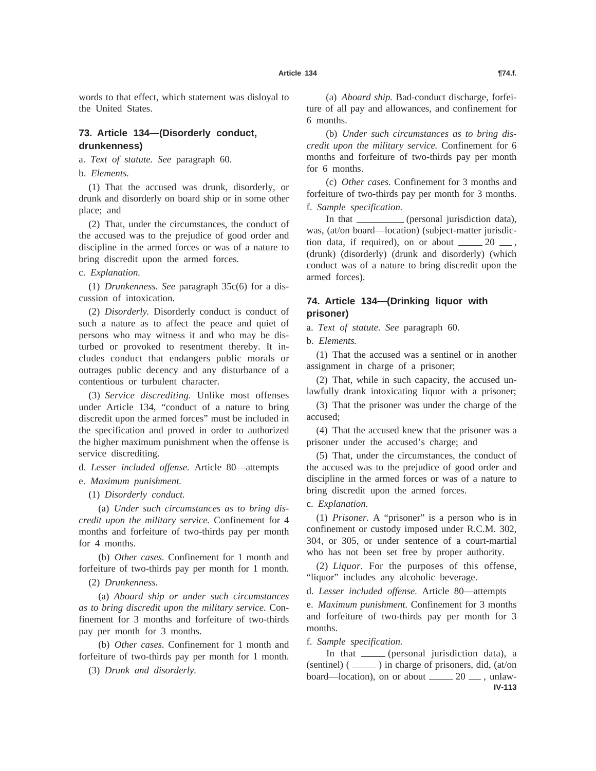words to that effect, which statement was disloyal to the United States.

# **73. Article 134—(Disorderly conduct, drunkenness)**

a. *Text of statute. See* paragraph 60.

b. *Elements.*

(1) That the accused was drunk, disorderly, or drunk and disorderly on board ship or in some other place; and

(2) That, under the circumstances, the conduct of the accused was to the prejudice of good order and discipline in the armed forces or was of a nature to bring discredit upon the armed forces.

c. *Explanation.*

(1) *Drunkenness. See* paragraph 35c(6) for a discussion of intoxication.

(2) *Disorderly.* Disorderly conduct is conduct of such a nature as to affect the peace and quiet of persons who may witness it and who may be disturbed or provoked to resentment thereby. It includes conduct that endangers public morals or outrages public decency and any disturbance of a contentious or turbulent character.

(3) *Service discrediting*. Unlike most offenses under Article 134, "conduct of a nature to bring discredit upon the armed forces" must be included in the specification and proved in order to authorized the higher maximum punishment when the offense is service discrediting.

d. *Lesser included offense.* Article 80—attempts

e. *Maximum punishment.* 

(1) *Disorderly conduct.* 

(a) *Under such circumstances as to bring discredit upon the military service.* Confinement for 4 months and forfeiture of two-thirds pay per month for 4 months.

(b) *Other cases.* Confinement for 1 month and forfeiture of two-thirds pay per month for 1 month.

(2) *Drunkenness.*

(a) *Aboard ship or under such circumstances as to bring discredit upon the military service.* Confinement for 3 months and forfeiture of two-thirds pay per month for 3 months.

(b) *Other cases.* Confinement for 1 month and forfeiture of two-thirds pay per month for 1 month.

(3) *Drunk and disorderly.* 

(a) *Aboard ship.* Bad-conduct discharge, forfeiture of all pay and allowances, and confinement for 6 months.

(b) *Under such circumstances as to bring discredit upon the military service.* Confinement for 6 months and forfeiture of two-thirds pay per month for 6 months.

(c) *Other cases.* Confinement for 3 months and forfeiture of two-thirds pay per month for 3 months. f. *Sample specification.* 

In that <u>entitled</u> (personal jurisdiction data), was, (at/on board—location) (subject-matter jurisdiction data, if required), on or about  $\_\_\_\_$  20  $\_\_\$ (drunk) (disorderly) (drunk and disorderly) (which conduct was of a nature to bring discredit upon the armed forces).

# **74. Article 134—(Drinking liquor with prisoner)**

a. *Text of statute. See* paragraph 60.

b. *Elements.*

(1) That the accused was a sentinel or in another assignment in charge of a prisoner;

(2) That, while in such capacity, the accused unlawfully drank intoxicating liquor with a prisoner;

(3) That the prisoner was under the charge of the accused;

(4) That the accused knew that the prisoner was a prisoner under the accused's charge; and

(5) That, under the circumstances, the conduct of the accused was to the prejudice of good order and discipline in the armed forces or was of a nature to bring discredit upon the armed forces.

c. *Explanation.*

(1) *Prisoner.* A "prisoner" is a person who is in confinement or custody imposed under R.C.M. 302, 304, or 305, or under sentence of a court-martial who has not been set free by proper authority.

(2) *Liquor*. For the purposes of this offense, "liquor" includes any alcoholic beverage.

d. *Lesser included offense.* Article 80—attempts

e. *Maximum punishment.* Confinement for 3 months and forfeiture of two-thirds pay per month for 3 months.

f. *Sample specification.* 

In that \_\_\_\_ (personal jurisdiction data), a (sentinel)  $($   $)$  in charge of prisoners, did, (at/on board—location), on or about  $\_\_\_\_$  20  $\_\_\_$ , unlaw-**IV-113**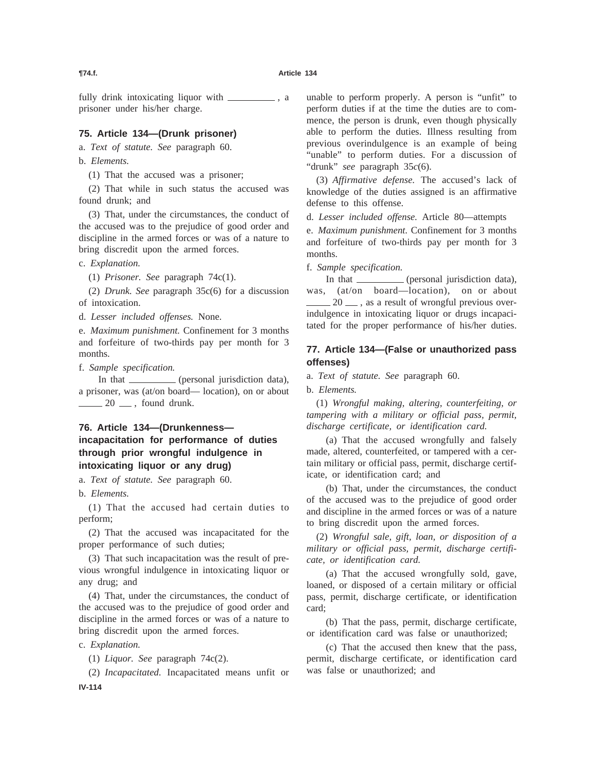fully drink intoxicating liquor with \_\_\_\_\_\_\_\_\_\_\_, a prisoner under his/her charge.

## **75. Article 134—(Drunk prisoner)**

a. *Text of statute. See* paragraph 60.

b. *Elements.*

(1) That the accused was a prisoner;

(2) That while in such status the accused was found drunk; and

(3) That, under the circumstances, the conduct of the accused was to the prejudice of good order and discipline in the armed forces or was of a nature to bring discredit upon the armed forces.

c. *Explanation.*

(1) *Prisoner. See* paragraph 74c(1).

(2) *Drunk. See* paragraph 35c(6) for a discussion of intoxication.

d. *Lesser included offenses.* None.

e. *Maximum punishment.* Confinement for 3 months and forfeiture of two-thirds pay per month for 3 months.

f. *Sample specification.* 

In that (personal jurisdiction data), a prisoner, was (at/on board— location), on or about  $\frac{20}{\pi}$ , found drunk.

# **76. Article 134—(Drunkenness incapacitation for performance of duties through prior wrongful indulgence in intoxicating liquor or any drug)**

a. *Text of statute. See* paragraph 60.

b. *Elements.*

 $(1)$  That the accused had certain duties to perform;

(2) That the accused was incapacitated for the proper performance of such duties;

(3) That such incapacitation was the result of previous wrongful indulgence in intoxicating liquor or any drug; and

(4) That, under the circumstances, the conduct of the accused was to the prejudice of good order and discipline in the armed forces or was of a nature to bring discredit upon the armed forces.

c. *Explanation.*

(1) *Liquor. See* paragraph 74c(2).

(2) *Incapacitated*. Incapacitated means unfit or

unable to perform properly. A person is "unfit" to perform duties if at the time the duties are to commence, the person is drunk, even though physically able to perform the duties. Illness resulting from previous overindulgence is an example of being "unable" to perform duties. For a discussion of "drunk" *see* paragraph 35*c*(6).

(3) Affirmative defense. The accused's lack of knowledge of the duties assigned is an affirmative defense to this offense.

d. *Lesser included offense.* Article 80—attempts

e. *Maximum punishment.* Confinement for 3 months and forfeiture of two-thirds pay per month for 3 months.

f. *Sample specification.* 

In that (personal jurisdiction data), was,  $(at/on<sub>bound</sub> - location)$ , on or about  $-20$  , as a result of wrongful previous overindulgence in intoxicating liquor or drugs incapacitated for the proper performance of his/her duties.

# **77. Article 134—(False or unauthorized pass offenses)**

a. *Text of statute. See* paragraph 60.

b. *Elements.*

(1) *Wrongful making, altering, counterfeiting, or tampering with a military or official pass, permit, discharge certificate, or identification card.* 

(a) That the accused wrongfully and falsely made, altered, counterfeited, or tampered with a certain military or official pass, permit, discharge certificate, or identification card; and

(b) That, under the circumstances, the conduct of the accused was to the prejudice of good order and discipline in the armed forces or was of a nature to bring discredit upon the armed forces.

(2) *Wrongful sale, gift, loan, or disposition of a military or official pass, permit, discharge certificate, or identification card.* 

(a) That the accused wrongfully sold, gave, loaned, or disposed of a certain military or official pass, permit, discharge certificate, or identification card;

(b) That the pass, permit, discharge certificate, or identification card was false or unauthorized;

(c) That the accused then knew that the pass, permit, discharge certificate, or identification card was false or unauthorized; and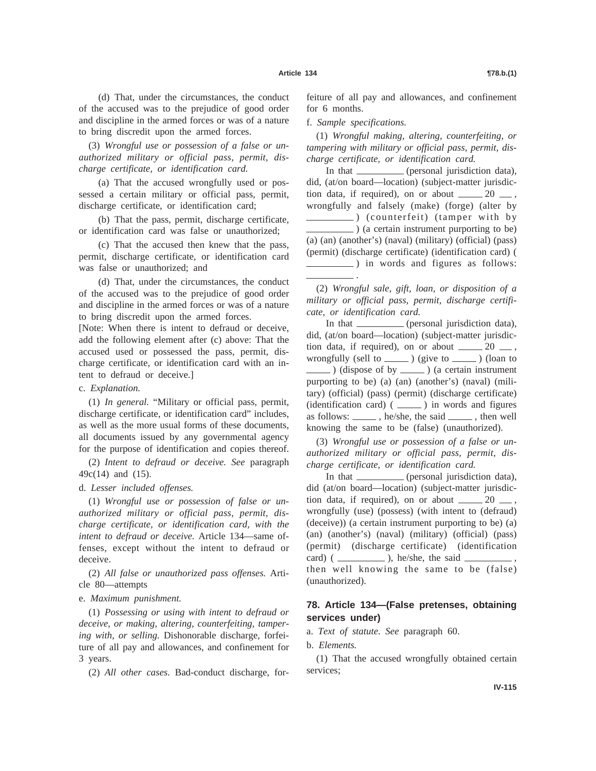(d) That, under the circumstances, the conduct of the accused was to the prejudice of good order and discipline in the armed forces or was of a nature to bring discredit upon the armed forces.

(3) *Wrongful use or possession of a false or unauthorized military or official pass, permit, discharge certificate, or identification card.* 

(a) That the accused wrongfully used or possessed a certain military or official pass, permit, discharge certificate, or identification card;

(b) That the pass, permit, discharge certificate, or identification card was false or unauthorized;

(c) That the accused then knew that the pass, permit, discharge certificate, or identification card was false or unauthorized; and

(d) That, under the circumstances, the conduct of the accused was to the prejudice of good order and discipline in the armed forces or was of a nature to bring discredit upon the armed forces.

[Note: When there is intent to defraud or deceive, add the following element after (c) above: That the accused used or possessed the pass, permit, discharge certificate, or identification card with an intent to defraud or deceive.]

c. *Explanation.*

(1) *In general.* "Military or official pass, permit, discharge certificate, or identification card" includes, as well as the more usual forms of these documents, all documents issued by any governmental agency for the purpose of identification and copies thereof.

(2) *Intent to defraud or deceive. See* paragraph 49c(14) and (15).

d. *Lesser included offenses.* 

(1) *Wrongful use or possession of false or unauthorized military or official pass, permit, discharge certificate, or identification card, with the intent to defraud or deceive.* Article 134—same offenses, except without the intent to defraud or deceive.

(2) *All false or unauthorized pass offenses.* Article 80—attempts

#### e. *Maximum punishment.*

(1) *Possessing or using with intent to defraud or deceive, or making, altering, counterfeiting, tampering with, or selling.* Dishonorable discharge, forfeiture of all pay and allowances, and confinement for 3 years.

(2) *All other cases.* Bad-conduct discharge, for-

feiture of all pay and allowances, and confinement for 6 months.

f. *Sample specifications.* 

.

(1) *Wrongful making, altering, counterfeiting, or tampering with military or official pass, permit, discharge certificate, or identification card.* 

In that (personal jurisdiction data), did, (at/on board—location) (subject-matter jurisdiction data, if required), on or about  $\_\_\_\_$  20  $\_\_\$ wrongfully and falsely (make) (forge) (alter by (counterfeit) (tamper with by ) (a certain instrument purporting to be) (a) (an) (another's) (naval) (military) (official) (pass) (permit) (discharge certificate) (identification card) (  $\equiv$  ) in words and figures as follows:

(2) *Wrongful sale, gift, loan, or disposition of a military or official pass, permit, discharge certificate, or identification card.* 

In that (personal jurisdiction data), did, (at/on board—location) (subject-matter jurisdiction data, if required), on or about  $\_\_\_\_$  20  $\_\_\$ wrongfully (sell to  $\_\_\_\$ ) (give to  $\_\_\_\_\$ ) (loan to (dispose of by \_\_\_\_\_\_\_) (a certain instrument purporting to be) (a) (an) (another's) (naval) (military) (official) (pass) (permit) (discharge certificate)  $(identification \ card)$   $($   $)$  in words and figures as follows: \_\_\_\_\_\_, he/she, the said \_\_\_\_\_\_, then well knowing the same to be (false) (unauthorized).

(3) *Wrongful use or possession of a false or unauthorized military or official pass, permit, discharge certificate, or identification card.* 

In that (personal jurisdiction data), did (at/on board—location) (subject-matter jurisdiction data, if required), on or about  $\_\_\_\_$  20  $\_\_\$ wrongfully (use) (possess) (with intent to (defraud) (deceive)) (a certain instrument purporting to be) (a) (an) (another's) (naval) (military) (official) (pass) ( permit) ( discharge certificate ) ( identification  $card)$  ( $\_\_\_\_\_\_\_\$ ), he/she, the said  $\_\_\_\_\_\_\_\_\_\$ then well knowing the same to be (false) (unauthorized).

# **78. Article 134—(False pretenses, obtaining services under)**

a. *Text of statute. See* paragraph 60.

b. *Elements.*

(1) That the accused wrongfully obtained certain services;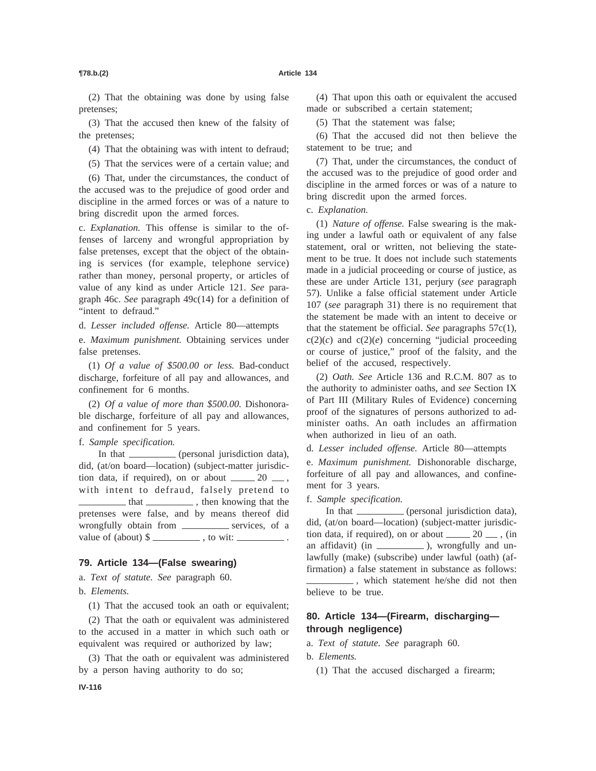#### **¶78.b.(2)** Article 134

(2) That the obtaining was done by using false pretenses;

(3) That the accused then knew of the falsity of the pretenses;

- (4) That the obtaining was with intent to defraud;
- (5) That the services were of a certain value; and

(6) That, under the circumstances, the conduct of the accused was to the prejudice of good order and discipline in the armed forces or was of a nature to bring discredit upon the armed forces.

c. *Explanation.* This offense is similar to the offenses of larceny and wrongful appropriation by false pretenses, except that the object of the obtaining is services (for example, telephone service) rather than money, personal property, or articles of value of any kind as under Article 121. *See* paragraph 46c. *See* paragraph 49c(14) for a definition of "intent to defraud."

d. *Lesser included offense.* Article 80—attempts

e. *Maximum punishment.* Obtaining services under false pretenses.

(1) *Of a value of \$500.00 or less.* Bad-conduct discharge, forfeiture of all pay and allowances, and confinement for 6 months.

(2) *Of a value of more than \$500.00.* Dishonorable discharge, forfeiture of all pay and allowances, and confinement for 5 years.

## f. *Sample specification.*

In that (personal jurisdiction data), did, (at/on board—location) (subject-matter jurisdiction data, if required), on or about  $\_\_\_\_\_$  20  $\_\_\$ with intent to defraud, falsely pretend to that \_\_\_\_\_\_\_\_\_\_\_\_, then knowing that the pretenses were false, and by means thereof did wrongfully obtain from \_\_\_\_\_\_\_\_\_\_ services, of a value of (about)  $\frac{1}{2}$  , to wit: \_\_\_\_\_\_\_\_\_.

## **79. Article 134—(False swearing)**

a. *Text of statute. See* paragraph 60.

### b. *Elements.*

(1) That the accused took an oath or equivalent;

(2) That the oath or equivalent was administered to the accused in a matter in which such oath or equivalent was required or authorized by law;

(3) That the oath or equivalent was administered by a person having authority to do so;

(4) That upon this oath or equivalent the accused made or subscribed a certain statement;

(5) That the statement was false;

 $(6)$  That the accused did not then believe the statement to be true; and

(7) That, under the circumstances, the conduct of the accused was to the prejudice of good order and discipline in the armed forces or was of a nature to bring discredit upon the armed forces.

## c. *Explanation.*

(1) *Nature of offense.* False swearing is the making under a lawful oath or equivalent of any false statement, oral or written, not believing the statement to be true. It does not include such statements made in a judicial proceeding or course of justice, as these are under Article 131, perjury (*see* paragraph 57). Unlike a false official statement under Article 107 (*see* paragraph 31) there is no requirement that the statement be made with an intent to deceive or that the statement be official. *See* paragraphs 57c(1),  $c(2)(c)$  and  $c(2)(e)$  concerning "judicial proceeding or course of justice," proof of the falsity, and the belief of the accused, respectively.

(2) *Oath. See* Article 136 and R.C.M. 807 as to the authority to administer oaths, and *see* Section IX of Part III (Military Rules of Evidence) concerning proof of the signatures of persons authorized to administer oaths. An oath includes an affirmation when authorized in lieu of an oath.

d. *Lesser included offense.* Article 80—attempts

e. *Maximum punishment*. Dishonorable discharge, forfeiture of all pay and allowances, and confinement for 3 years.

f. *Sample specification.* 

In that <u>entitled</u> (personal jurisdiction data), did, (at/on board—location) (subject-matter jurisdiction data, if required), on or about  $\_\_\_\_$  20  $\_\_\$ , (in an affidavit) (in ), wrongfully and unlawfully (make) (subscribe) under lawful (oath) (affirmation) a false statement in substance as follows: , which statement he/she did not then believe to be true.

# **80. Article 134—(Firearm, discharging through negligence)**

a. *Text of statute. See* paragraph 60.

b. *Elements.*

(1) That the accused discharged a firearm;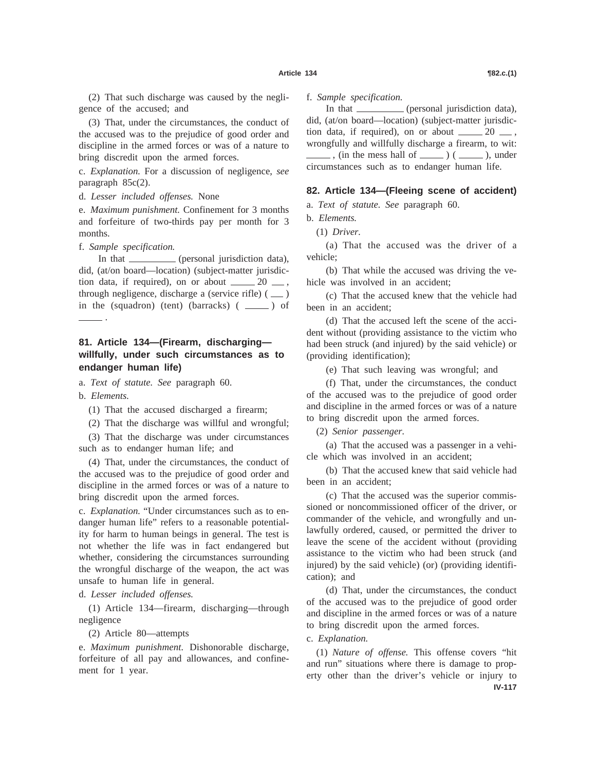(2) That such discharge was caused by the negligence of the accused; and

(3) That, under the circumstances, the conduct of the accused was to the prejudice of good order and discipline in the armed forces or was of a nature to bring discredit upon the armed forces.

c. *Explanation.* For a discussion of negligence, *see* paragraph 85c(2).

d. *Lesser included offenses.* None

e. *Maximum punishment.* Confinement for 3 months and forfeiture of two-thirds pay per month for 3 months.

f. *Sample specification.* 

In that <u>entitled</u> (personal jurisdiction data), did, (at/on board—location) (subject-matter jurisdiction data, if required), on or about  $\_\_\_\_$  20  $\_\_\$ through negligence, discharge a (service rifle)  $($ <sub> $)$ </sub> in the (squadron) (tent) (barracks)  $($  \_\_\_\_\_  $)$  of .

# **81. Article 134—(Firearm, discharging willfully, under such circumstances as to endanger human life)**

a. *Text of statute. See* paragraph 60.

b. *Elements.*

(1) That the accused discharged a firearm;

(2) That the discharge was willful and wrongful;

(3) That the discharge was under circumstances such as to endanger human life; and

(4) That, under the circumstances, the conduct of the accused was to the prejudice of good order and discipline in the armed forces or was of a nature to bring discredit upon the armed forces.

c. *Explanation.* "Under circumstances such as to endanger human life" refers to a reasonable potentiality for harm to human beings in general. The test is not whether the life was in fact endangered but whether, considering the circumstances surrounding the wrongful discharge of the weapon, the act was unsafe to human life in general.

d. *Lesser included offenses.* 

(1) Article  $134$ —firearm, discharging—through negligence

(2) Article 80—attempts

e. *Maximum punishment*. Dishonorable discharge, forfeiture of all pay and allowances, and confinement for 1 year.

### f. *Sample specification.*

In that \_\_\_\_\_\_\_\_\_\_ (personal jurisdiction data), did, (at/on board—location) (subject-matter jurisdiction data, if required), on or about  $\_\_\_\_$  20  $\_\_\$ wrongfully and willfully discharge a firearm, to wit:  $\frac{1}{\sqrt{1-\frac{1}{\sqrt{1-\frac{1}{\sqrt{1-\frac{1}{\sqrt{1-\frac{1}{\sqrt{1-\frac{1}{\sqrt{1-\frac{1}{\sqrt{1-\frac{1}{\sqrt{1-\frac{1}{\sqrt{1-\frac{1}{\sqrt{1-\frac{1}{\sqrt{1-\frac{1}{\sqrt{1-\frac{1}{\sqrt{1-\frac{1}{\sqrt{1-\frac{1}{\sqrt{1-\frac{1}{\sqrt{1-\frac{1}{\sqrt{1-\frac{1}{\sqrt{1-\frac{1}{\sqrt{1-\frac{1}{\sqrt{1-\frac{1}{\sqrt{1-\frac{1}{\sqrt{1-\frac{1}{\sqrt{1-\frac{1}{\sqrt{1-\frac{1$ circumstances such as to endanger human life.

## **82. Article 134—(Fleeing scene of accident)**

a. *Text of statute. See* paragraph 60.

b. *Elements.*

(1) *Driver.*

(a) That the accused was the driver of a vehicle;

(b) That while the accused was driving the vehicle was involved in an accident;

(c) That the accused knew that the vehicle had been in an accident;

(d) That the accused left the scene of the accident without (providing assistance to the victim who had been struck (and injured) by the said vehicle) or (providing identification);

(e) That such leaving was wrongful; and

(f) That, under the circumstances, the conduct of the accused was to the prejudice of good order and discipline in the armed forces or was of a nature to bring discredit upon the armed forces.

(2) *Senior passenger.* 

(a) That the accused was a passenger in a vehicle which was involved in an accident;

(b) That the accused knew that said vehicle had been in an accident;

(c) That the accused was the superior commissioned or noncommissioned officer of the driver, or commander of the vehicle, and wrongfully and unlawfully ordered, caused, or permitted the driver to leave the scene of the accident without (providing assistance to the victim who had been struck (and injured) by the said vehicle) (or) (providing identification); and

(d) That, under the circumstances, the conduct of the accused was to the prejudice of good order and discipline in the armed forces or was of a nature to bring discredit upon the armed forces.

c. *Explanation.*

(1) *Nature of offense.* This offense covers "hit and run" situations where there is damage to property other than the driver's vehicle or injury to **IV-117**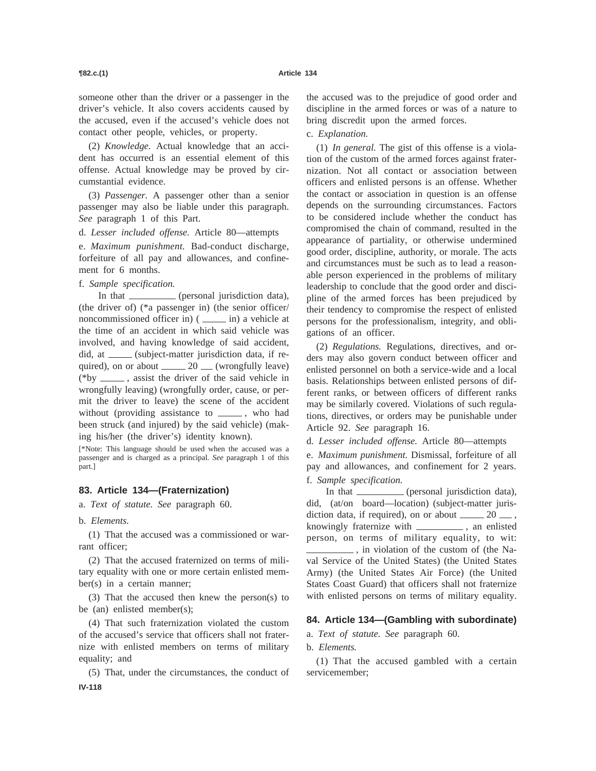someone other than the driver or a passenger in the driver's vehicle. It also covers accidents caused by the accused, even if the accused's vehicle does not contact other people, vehicles, or property.

(2) *Knowledge.* Actual knowledge that an accident has occurred is an essential element of this offense. Actual knowledge may be proved by circumstantial evidence.

(3) *Passenger.* A passenger other than a senior passenger may also be liable under this paragraph. *See* paragraph 1 of this Part.

d. *Lesser included offense.* Article 80—attempts

e. *Maximum punishment*. Bad-conduct discharge, forfeiture of all pay and allowances, and confinement for 6 months.

f. *Sample specification.* 

In that (personal jurisdiction data), (the driver of) (\*a passenger in) (the senior officer/ noncommissioned officer in) ( in) a vehicle at the time of an accident in which said vehicle was involved, and having knowledge of said accident, did, at \_\_\_\_\_\_ (subject-matter jurisdiction data, if required), on or about  $\_\_\_\_\$  20  $\_\_\$  (wrongfully leave) (\*by , assist the driver of the said vehicle in wrongfully leaving) (wrongfully order, cause, or permit the driver to leave) the scene of the accident without (providing assistance to  $\_\_\_\$ , who had been struck (and injured) by the said vehicle) (making his/her (the driver's) identity known).

[\*Note: This language should be used when the accused was a passenger and is charged as a principal. *See* paragraph 1 of this part.]

### **83. Article 134—(Fraternization)**

a. *Text of statute. See* paragraph 60.

b. *Elements.*

(1) That the accused was a commissioned or warrant officer;

(2) That the accused fraternized on terms of military equality with one or more certain enlisted member(s) in a certain manner;

(3) That the accused then knew the person(s) to be (an) enlisted member(s);

(4) That such fraternization violated the custom of the accused's service that officers shall not fraternize with enlisted members on terms of military equality; and

(5) That, under the circumstances, the conduct of **IV-118**

the accused was to the prejudice of good order and discipline in the armed forces or was of a nature to bring discredit upon the armed forces.

c. *Explanation.*

(1) *In general.* The gist of this offense is a violation of the custom of the armed forces against fraternization. Not all contact or association between officers and enlisted persons is an offense. Whether the contact or association in question is an offense depends on the surrounding circumstances. Factors to be considered include whether the conduct has compromised the chain of command, resulted in the appearance of partiality, or otherwise undermined good order, discipline, authority, or morale. The acts and circumstances must be such as to lead a reasonable person experienced in the problems of military leadership to conclude that the good order and discipline of the armed forces has been prejudiced by their tendency to compromise the respect of enlisted persons for the professionalism, integrity, and obligations of an officer.

(2) *Regulations.* Regulations, directives, and orders may also govern conduct between officer and enlisted personnel on both a service-wide and a local basis. Relationships between enlisted persons of different ranks, or between officers of different ranks may be similarly covered. Violations of such regulations, directives, or orders may be punishable under Article 92. *See* paragraph 16.

d. *Lesser included offense.* Article 80—attempts e. *Maximum punishment.* Dismissal, forfeiture of all pay and allowances, and confinement for 2 years. f. *Sample specification.* 

In that (personal jurisdiction data), did, (at/on board—location) (subject-matter jurisdiction data, if required), on or about  $\_\_\_\_$  20  $\_\_\$ knowingly fraternize with \_\_\_\_\_\_\_\_\_\_\_\_, an enlisted person, on terms of military equality, to wit: , in violation of the custom of (the Naval Service of the United States) (the United States Army) (the United States Air Force) (the United States Coast Guard) that officers shall not fraternize with enlisted persons on terms of military equality.

## **84. Article 134—(Gambling with subordinate)**

a. *Text of statute. See* paragraph 60.

b. *Elements.*

(1) That the accused gambled with a certain servicemember;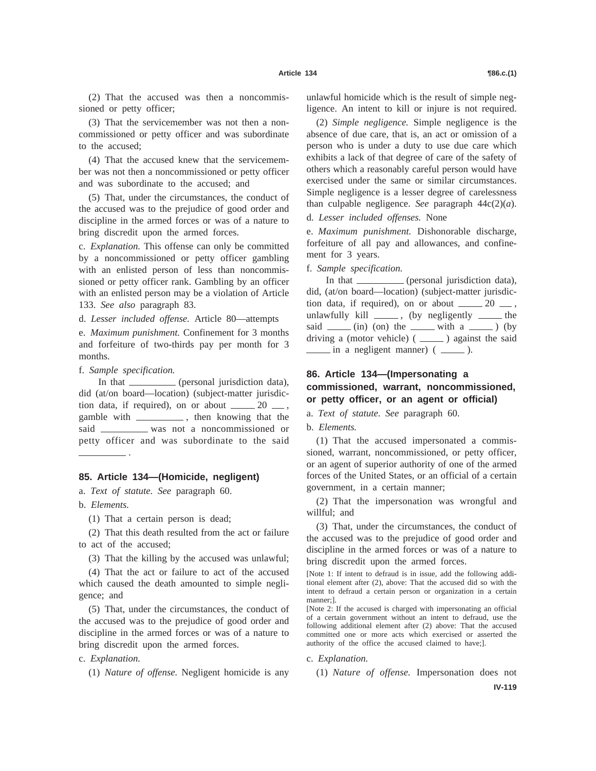(3) That the servicemember was not then a noncommissioned or petty officer and was subordinate to the accused;

(4) That the accused knew that the servicemember was not then a noncommissioned or petty officer and was subordinate to the accused; and

(5) That, under the circumstances, the conduct of the accused was to the prejudice of good order and discipline in the armed forces or was of a nature to bring discredit upon the armed forces.

c. *Explanation.* This offense can only be committed by a noncommissioned or petty officer gambling with an enlisted person of less than noncommissioned or petty officer rank. Gambling by an officer with an enlisted person may be a violation of Article 133. *See also* paragraph 83.

d. *Lesser included offense.* Article 80—attempts

e. *Maximum punishment.* Confinement for 3 months and forfeiture of two-thirds pay per month for 3 months.

f. *Sample specification.* 

In that <u>entitled</u> (personal jurisdiction data), did (at/on board—location) (subject-matter jurisdiction data, if required), on or about  $\_\_\_\_$  20  $\_\_\$ gamble with \_\_\_\_\_\_\_\_\_\_\_, then knowing that the said \_\_\_\_\_\_\_ was not a noncommissioned or petty officer and was subordinate to the said

## **85. Article 134—(Homicide, negligent)**

a. *Text of statute. See* paragraph 60.

- b. *Elements.*
	- (1) That a certain person is dead;

(2) That this death resulted from the act or failure to act of the accused;

(3) That the killing by the accused was unlawful;

(4) That the act or failure to act of the accused which caused the death amounted to simple negligence; and

(5) That, under the circumstances, the conduct of the accused was to the prejudice of good order and discipline in the armed forces or was of a nature to bring discredit upon the armed forces.

c. *Explanation.*

(1) *Nature of offense.* Negligent homicide is any

unlawful homicide which is the result of simple negligence. An intent to kill or injure is not required.

(2) *Simple negligence.* Simple negligence is the absence of due care, that is, an act or omission of a person who is under a duty to use due care which exhibits a lack of that degree of care of the safety of others which a reasonably careful person would have exercised under the same or similar circumstances. Simple negligence is a lesser degree of carelessness than culpable negligence. *See* paragraph 44c(2)(*a*).

d. *Lesser included offenses.* None

e. *Maximum punishment*. Dishonorable discharge, forfeiture of all pay and allowances, and confinement for 3 years.

f. *Sample specification.* 

In that (personal jurisdiction data), did, (at/on board—location) (subject-matter jurisdiction data, if required), on or about  $\_\_\_\_$  20  $\_\_\$ unlawfully kill  $\frac{1}{\sqrt{2}}$ , (by negligently  $\frac{1}{\sqrt{2}}$  the said  $\frac{1}{\sqrt{1-\frac{1}{\sqrt{1-\frac{1}{\sqrt{1-\frac{1}{\sqrt{1-\frac{1}{\sqrt{1-\frac{1}{\sqrt{1-\frac{1}{\sqrt{1-\frac{1}{\sqrt{1-\frac{1}{\sqrt{1-\frac{1}{\sqrt{1-\frac{1}{\sqrt{1-\frac{1}{\sqrt{1-\frac{1}{\sqrt{1-\frac{1}{\sqrt{1-\frac{1}{\sqrt{1-\frac{1}{\sqrt{1-\frac{1}{\sqrt{1-\frac{1}{\sqrt{1-\frac{1}{\sqrt{1-\frac{1}{\sqrt{1-\frac{1}{\sqrt{1-\frac{1}{\sqrt{1-\frac{1}{\sqrt{1-\frac{1}{\sqrt{$ driving a (motor vehicle) (  $\qquad$  ) against the said  $\frac{1}{\sqrt{1-\frac{1}{\sqrt{1-\frac{1}{\sqrt{1-\frac{1}{\sqrt{1-\frac{1}{\sqrt{1-\frac{1}{\sqrt{1-\frac{1}{\sqrt{1-\frac{1}{\sqrt{1-\frac{1}{\sqrt{1-\frac{1}{\sqrt{1-\frac{1}{\sqrt{1-\frac{1}{\sqrt{1-\frac{1}{\sqrt{1-\frac{1}{\sqrt{1-\frac{1}{\sqrt{1-\frac{1}{\sqrt{1-\frac{1}{\sqrt{1-\frac{1}{\sqrt{1-\frac{1}{\sqrt{1-\frac{1}{\sqrt{1-\frac{1}{\sqrt{1-\frac{1}{\sqrt{1-\frac{1}{\sqrt{1-\frac{1}{\sqrt{1-\frac{1$ 

# **86. Article 134—(Impersonating a commissioned, warrant, noncommissioned, or petty officer, or an agent or official)**

a. *Text of statute. See* paragraph 60.

b. *Elements.*

 $(1)$  That the accused impersonated a commissioned, warrant, noncommissioned, or petty officer, or an agent of superior authority of one of the armed forces of the United States, or an official of a certain government, in a certain manner;

 $(2)$  That the impersonation was wrongful and willful; and

(3) That, under the circumstances, the conduct of the accused was to the prejudice of good order and discipline in the armed forces or was of a nature to bring discredit upon the armed forces.

[Note 1: If intent to defraud is in issue, add the following additional element after (2), above: That the accused did so with the intent to defraud a certain person or organization in a certain manner;].

[Note 2: If the accused is charged with impersonating an official of a certain government without an intent to defraud, use the following additional element after (2) above: That the accused committed one or more acts which exercised or asserted the authority of the office the accused claimed to have;].

c. *Explanation.*

(1) *Nature of offense*. Impersonation does not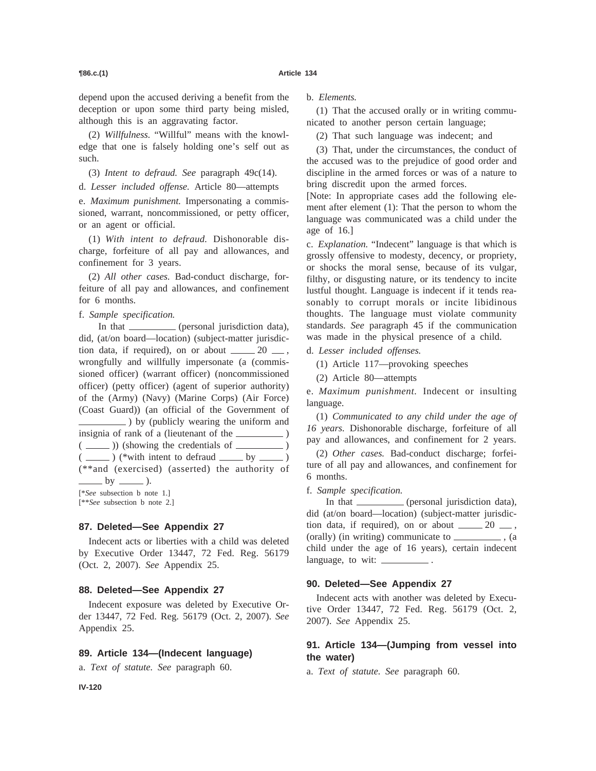#### $\P$ **86.c.(1)** Article 134

depend upon the accused deriving a benefit from the deception or upon some third party being misled, although this is an aggravating factor.

(2) *Willfulness.* "Willful" means with the knowledge that one is falsely holding one's self out as such.

(3) *Intent to defraud. See* paragraph 49c(14).

d. *Lesser included offense.* Article 80—attempts

e. *Maximum punishment.* Impersonating a commissioned, warrant, noncommissioned, or petty officer, or an agent or official.

(1) With intent to defraud. Dishonorable discharge, forfeiture of all pay and allowances, and confinement for 3 years.

(2) *All other cases.* Bad-conduct discharge, forfeiture of all pay and allowances, and confinement for 6 months.

f. *Sample specification.* 

In that (personal jurisdiction data), did, (at/on board—location) (subject-matter jurisdiction data, if required), on or about  $\_\_\_\_$  20  $\_\_\$ wrongfully and willfully impersonate (a (commissioned officer) (warrant officer) (noncommissioned officer) (petty officer) (agent of superior authority) of the (Army) (Navy) (Marine Corps) (Air Force) (Coast Guard)) (an official of the Government of ) by (publicly wearing the uniform and insignia of rank of a (lieutenant of the  $\qquad$ )  $(\underline{\hspace{1cm}})$  (showing the credentials of  $\underline{\hspace{1cm}}$ )  $(\underline{\hspace{1cm}})$  (\*with intent to defraud  $\underline{\hspace{1cm}}$  by  $\underline{\hspace{1cm}})$ )  $(**and$  (exercised) (asserted) the authority of by  $\rule{1em}{0.15mm}$  ). [\**See* subsection b note 1.]

[\*\**See* subsection b note 2.]

#### **87. Deleted—See Appendix 27**

Indecent acts or liberties with a child was deleted by Executive Order 13447, 72 Fed. Reg. 56179 (Oct. 2, 2007). *See* Appendix 25.

#### **88. Deleted—See Appendix 27**

Indecent exposure was deleted by Executive Order 13447, 72 Fed. Reg. 56179 (Oct. 2, 2007). *See* Appendix 25.

## **89. Article 134—(Indecent language)**

a. *Text of statute. See* paragraph 60.

b. *Elements.*

(1) That the accused orally or in writing communicated to another person certain language;

(2) That such language was indecent; and

(3) That, under the circumstances, the conduct of the accused was to the prejudice of good order and discipline in the armed forces or was of a nature to bring discredit upon the armed forces.

[Note: In appropriate cases add the following element after element (1): That the person to whom the language was communicated was a child under the age of 16.]

c. *Explanation.* "Indecent" language is that which is grossly offensive to modesty, decency, or propriety, or shocks the moral sense, because of its vulgar, filthy, or disgusting nature, or its tendency to incite lustful thought. Language is indecent if it tends reasonably to corrupt morals or incite libidinous thoughts. The language must violate community standards. *See* paragraph 45 if the communication was made in the physical presence of a child.

d. *Lesser included offenses.* 

(1) Article 117—provoking speeches

(2) Article 80—attempts

e. *Maximum punishment*. Indecent or insulting language.

(1) *Communicated to any child under the age of 16 years.* Dishonorable discharge, forfeiture of all pay and allowances, and confinement for 2 years.

(2) *Other cases.* Bad-conduct discharge; forfeiture of all pay and allowances, and confinement for 6 months.

f. *Sample specification.* 

In that (personal jurisdiction data), did (at/on board—location) (subject-matter jurisdiction data, if required), on or about  $\_\_\_\_$  20  $\_\_\$ (orally) (in writing) communicate to , (a child under the age of 16 years), certain indecent language, to wit:  $\_\_\_\_\_\_\_\_\_\_\_\_\_\_\_\_\_\_\_\_$ .

## **90. Deleted—See Appendix 27**

Indecent acts with another was deleted by Executive Order 13447, 72 Fed. Reg. 56179 (Oct. 2, 2007). *See* Appendix 25.

## **91. Article 134—(Jumping from vessel into the water)**

a. *Text of statute. See* paragraph 60.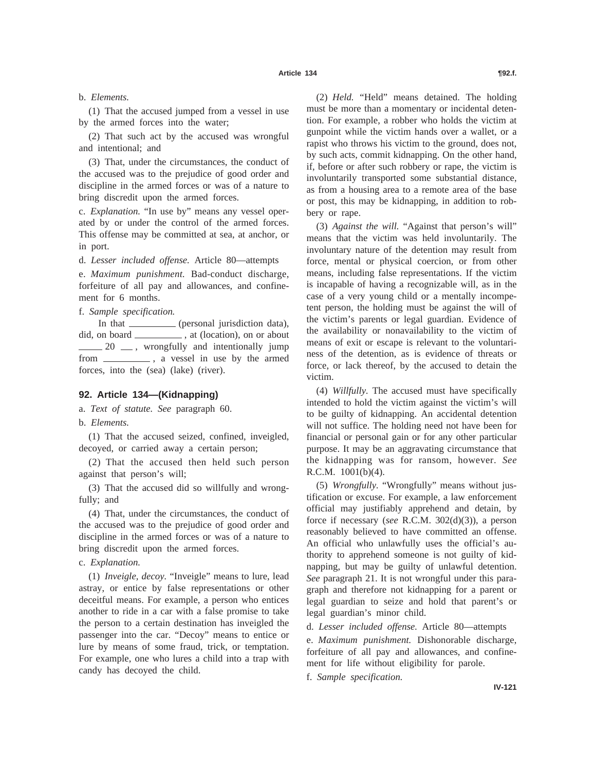### b. *Elements.*

(1) That the accused jumped from a vessel in use by the armed forces into the water;

(2) That such act by the accused was wrongful and intentional; and

(3) That, under the circumstances, the conduct of the accused was to the prejudice of good order and discipline in the armed forces or was of a nature to bring discredit upon the armed forces.

c. *Explanation.* "In use by" means any vessel operated by or under the control of the armed forces. This offense may be committed at sea, at anchor, or in port.

d. *Lesser included offense.* Article 80—attempts

e. *Maximum punishment*. Bad-conduct discharge, forfeiture of all pay and allowances, and confinement for 6 months.

f. *Sample specification.* 

In that \_\_\_\_\_\_\_\_\_\_ (personal jurisdiction data), did, on board \_\_\_\_\_\_\_\_\_\_\_, at (location), on or about  $\_\$  20  $\_\$ , wrongfully and intentionally jump from \_\_\_\_\_\_\_\_\_\_, a vessel in use by the armed forces, into the (sea) (lake) (river).

## **92. Article 134—(Kidnapping)**

a. *Text of statute. See* paragraph 60.

b. *Elements.*

(1) That the accused seized, confined, inveigled, decoyed, or carried away a certain person;

 $(2)$  That the accused then held such person against that person's will;

(3) That the accused did so willfully and wrongfully; and

(4) That, under the circumstances, the conduct of the accused was to the prejudice of good order and discipline in the armed forces or was of a nature to bring discredit upon the armed forces.

c. *Explanation.*

(1) *Inveigle, decoy.* "Inveigle" means to lure, lead astray, or entice by false representations or other deceitful means. For example, a person who entices another to ride in a car with a false promise to take the person to a certain destination has inveigled the passenger into the car. "Decoy" means to entice or lure by means of some fraud, trick, or temptation. For example, one who lures a child into a trap with candy has decoyed the child.

(2) *Held.* "Held" means detained. The holding must be more than a momentary or incidental detention. For example, a robber who holds the victim at gunpoint while the victim hands over a wallet, or a rapist who throws his victim to the ground, does not, by such acts, commit kidnapping. On the other hand, if, before or after such robbery or rape, the victim is involuntarily transported some substantial distance, as from a housing area to a remote area of the base or post, this may be kidnapping, in addition to robbery or rape.

(3) *Against the will.* "Against that person's will" means that the victim was held involuntarily. The involuntary nature of the detention may result from force, mental or physical coercion, or from other means, including false representations. If the victim is incapable of having a recognizable will, as in the case of a very young child or a mentally incompetent person, the holding must be against the will of the victim's parents or legal guardian. Evidence of the availability or nonavailability to the victim of means of exit or escape is relevant to the voluntariness of the detention, as is evidence of threats or force, or lack thereof, by the accused to detain the victim.

(4) *Willfully.* The accused must have specifically intended to hold the victim against the victim's will to be guilty of kidnapping. An accidental detention will not suffice. The holding need not have been for financial or personal gain or for any other particular purpose. It may be an aggravating circumstance that the kidnapping was for ransom, however. See R.C.M. 1001(b)(4).

(5) *Wrongfully.* "Wrongfully" means without justification or excuse. For example, a law enforcement official may justifiably apprehend and detain, by force if necessary (*see* R.C.M. 302(d)(3)), a person reasonably believed to have committed an offense. An official who unlawfully uses the official's authority to apprehend someone is not guilty of kidnapping, but may be guilty of unlawful detention. *See* paragraph 21. It is not wrongful under this paragraph and therefore not kidnapping for a parent or legal guardian to seize and hold that parent's or legal guardian's minor child.

d. *Lesser included offense.* Article 80—attempts

e. *Maximum punishment*. Dishonorable discharge, forfeiture of all pay and allowances, and confinement for life without eligibility for parole.

f. *Sample specification.*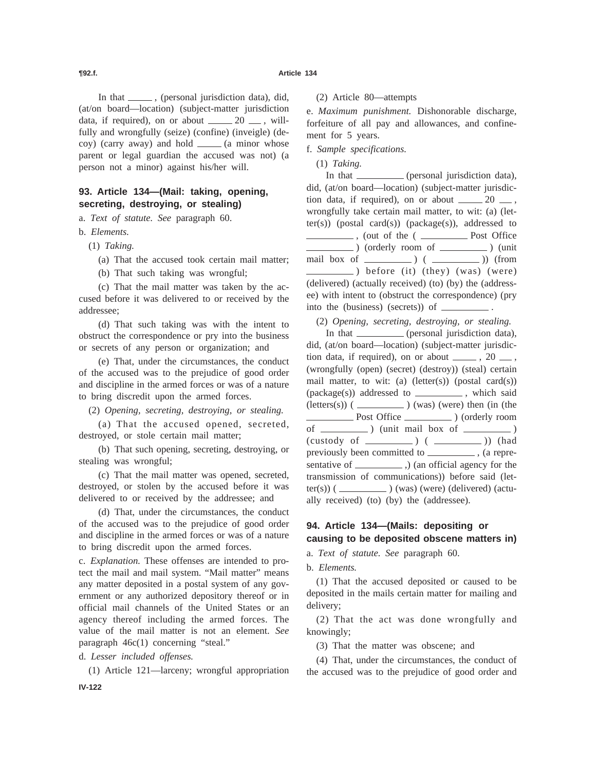In that \_\_\_\_\_\_, (personal jurisdiction data), did, (at/on board—location) (subject-matter jurisdiction data, if required), on or about  $\_\_\_\_$  20  $\_\_\_\$ , willfully and wrongfully (seize) (confine) (inveigle) (decoy) (carry away) and hold \_\_\_\_\_ (a minor whose parent or legal guardian the accused was not) (a person not a minor) against his/her will.

# **93. Article 134—(Mail: taking, opening, secreting, destroying, or stealing)**

a. *Text of statute. See* paragraph 60.

b. *Elements.*

- (1) *Taking.*
	- (a) That the accused took certain mail matter;

(b) That such taking was wrongful;

(c) That the mail matter was taken by the accused before it was delivered to or received by the addressee;

(d) That such taking was with the intent to obstruct the correspondence or pry into the business or secrets of any person or organization; and

(e) That, under the circumstances, the conduct of the accused was to the prejudice of good order and discipline in the armed forces or was of a nature to bring discredit upon the armed forces.

(2) *Opening, secreting, destroying, or stealing.* 

(a) That the accused opened, secreted, destroyed, or stole certain mail matter;

(b) That such opening, secreting, destroying, or stealing was wrongful;

(c) That the mail matter was opened, secreted, destroyed, or stolen by the accused before it was delivered to or received by the addressee; and

(d) That, under the circumstances, the conduct of the accused was to the prejudice of good order and discipline in the armed forces or was of a nature to bring discredit upon the armed forces.

c. *Explanation.* These offenses are intended to protect the mail and mail system. "Mail matter" means any matter deposited in a postal system of any government or any authorized depository thereof or in official mail channels of the United States or an agency thereof including the armed forces. The value of the mail matter is not an element. *See* paragraph 46c(1) concerning "steal."

d. *Lesser included offenses.* 

(1) Article 121—larceny; wrongful appropriation

(2) Article 80—attempts

e. *Maximum punishment*. Dishonorable discharge, forfeiture of all pay and allowances, and confinement for 5 years.

f. *Sample specifications.* 

(1) *Taking.*

In that (personal jurisdiction data), did, (at/on board—location) (subject-matter jurisdiction data, if required), on or about  $\_\_\_\_$  20  $\_\_\$ wrongfully take certain mail matter, to wit: (a) (let $ter(s)$  (postal card(s)) (package(s)), addressed to Fost Office , (out of the (
<u>Letter Post Office</u>  $\sqrt{ }$  (orderly room of  $\sqrt{ }$ ) (unit mail box of  $\qquad$  ) ( $\qquad$  ) (from  $\equiv$ ) before (it) (they) (was) (were) (delivered) (actually received) (to) (by) the (addressee) with intent to (obstruct the correspondence) (pry into the (business) (secrets)) of  $\equiv$ 

(2) *Opening, secreting, destroying, or stealing.* 

In that <u>entitled</u> (personal jurisdiction data), did, (at/on board—location) (subject-matter jurisdiction data, if required), on or about  $\_\_\_\_$ , 20  $\_\_\_$ , (wrongfully (open) (secret) (destroy)) (steal) certain mail matter, to wit: (a) (letter(s)) (postal card(s))  $(\text{package}(s))$  addressed to  $\_\_\_\_\_\$ , which said (letters(s)) ( ) (was) (were) then (in (the **EXECUTE:** Post Office *CONSERVITY POST* Office *CONSERVITY* (orderly room o f ) ( u n i t m a i l b o x o f )  $(custody of \_) (x)$ previously been committed to \_\_\_\_\_\_\_\_\_\_\_\_\_, (a representative of \_\_\_\_\_\_\_\_\_\_\_\_\_,) (an official agency for the transmission of communications)) before said (let $ter(s)$ ) ( $\qquad$  ) (was) (were) (delivered) (actually received) (to) (by) the (addressee).

# **94. Article 134—(Mails: depositing or causing to be deposited obscene matters in)**

a. *Text of statute. See* paragraph 60.

b. *Elements.*

(1) That the accused deposited or caused to be deposited in the mails certain matter for mailing and delivery;

 $(2)$  That the act was done wrongfully and knowingly;

(3) That the matter was obscene; and

(4) That, under the circumstances, the conduct of the accused was to the prejudice of good order and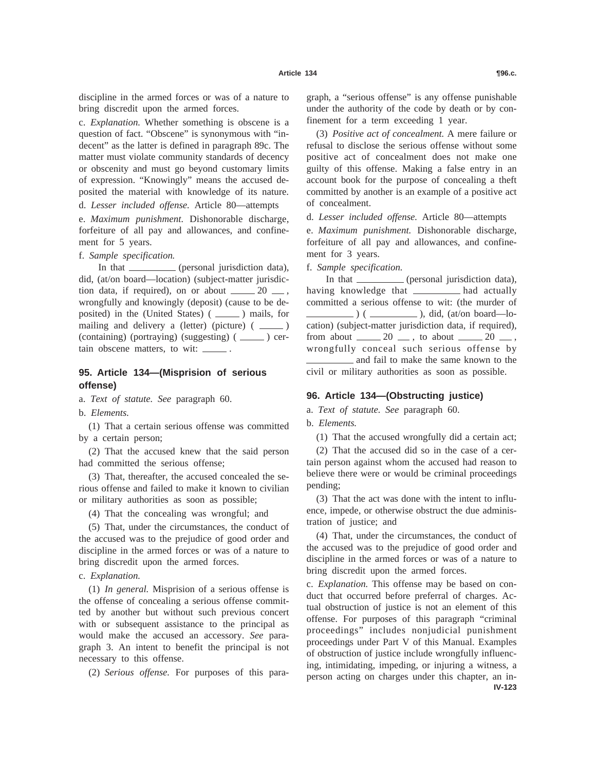discipline in the armed forces or was of a nature to bring discredit upon the armed forces.

c. *Explanation.* Whether something is obscene is a question of fact. "Obscene" is synonymous with "indecent" as the latter is defined in paragraph 89c. The matter must violate community standards of decency or obscenity and must go beyond customary limits of expression. "Knowingly" means the accused deposited the material with knowledge of its nature.

d. *Lesser included offense.* Article 80—attempts

e. *Maximum punishment*. Dishonorable discharge, forfeiture of all pay and allowances, and confinement for 5 years.

f. *Sample specification.* 

In that (personal jurisdiction data), did, (at/on board—location) (subject-matter jurisdiction data, if required), on or about  $\_\_\_\_$  20  $\_\_\$ wrongfully and knowingly (deposit) (cause to be deposited) in the (United States) (  $\_\_$ ) mails, for mailing and delivery a (letter) (picture)  $($  \_\_\_\_\_\_\_ (containing) (portraying) (suggesting) ( \_\_\_\_\_ ) certain obscene matters, to wit: \_\_\_\_\_\_.

## **95. Article 134—(Misprision of serious offense)**

a. *Text of statute. See* paragraph 60.

b. *Elements.*

(1) That a certain serious offense was committed by a certain person;

(2) That the accused knew that the said person had committed the serious offense;

(3) That, thereafter, the accused concealed the serious offense and failed to make it known to civilian or military authorities as soon as possible;

(4) That the concealing was wrongful; and

(5) That, under the circumstances, the conduct of the accused was to the prejudice of good order and discipline in the armed forces or was of a nature to bring discredit upon the armed forces.

c. *Explanation.*

(1) *In general.* Misprision of a serious offense is the offense of concealing a serious offense committed by another but without such previous concert with or subsequent assistance to the principal as would make the accused an accessory. *See* paragraph 3. An intent to benefit the principal is not necessary to this offense.

(2) *Serious offense.* For purposes of this para-

graph, a "serious offense" is any offense punishable under the authority of the code by death or by confinement for a term exceeding 1 year.

(3) *Positive act of concealment.* A mere failure or refusal to disclose the serious offense without some positive act of concealment does not make one guilty of this offense. Making a false entry in an account book for the purpose of concealing a theft committed by another is an example of a positive act of concealment.

d. *Lesser included offense.* Article 80—attempts

e. *Maximum punishment*. Dishonorable discharge, forfeiture of all pay and allowances, and confinement for 3 years.

f. *Sample specification.* 

In that <u>entitled</u> (personal jurisdiction data), having knowledge that \_\_\_\_\_\_\_ had actually committed a serious offense to wit: (the murder of ( ) ( \_\_\_\_\_\_\_\_\_\_\_\_\_ ), did, (at/on board—location) (subject-matter jurisdiction data, if required), from about  $\frac{20}{1}$ , to about  $\frac{20}{1}$ , wrongfully conceal such serious offense by and fail to make the same known to the civil or military authorities as soon as possible.

## **96. Article 134—(Obstructing justice)**

a. *Text of statute. See* paragraph 60.

b. *Elements.*

(1) That the accused wrongfully did a certain act;

(2) That the accused did so in the case of a certain person against whom the accused had reason to believe there were or would be criminal proceedings pending;

(3) That the act was done with the intent to influence, impede, or otherwise obstruct the due administration of justice; and

(4) That, under the circumstances, the conduct of the accused was to the prejudice of good order and discipline in the armed forces or was of a nature to bring discredit upon the armed forces.

c. *Explanation.* This offense may be based on conduct that occurred before preferral of charges. Actual obstruction of justice is not an element of this offense. For purposes of this paragraph "criminal proceedings" includes nonjudicial punishment proceedings under Part V of this Manual. Examples of obstruction of justice include wrongfully influencing, intimidating, impeding, or injuring a witness, a person acting on charges under this chapter, an in-**IV-123**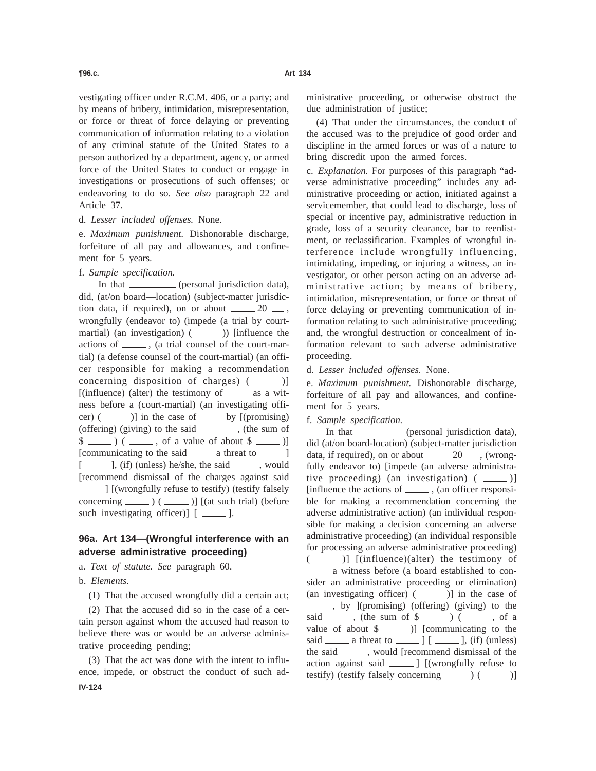vestigating officer under R.C.M. 406, or a party; and by means of bribery, intimidation, misrepresentation, or force or threat of force delaying or preventing communication of information relating to a violation of any criminal statute of the United States to a person authorized by a department, agency, or armed force of the United States to conduct or engage in investigations or prosecutions of such offenses; or endeavoring to do so. *See also* paragraph 22 and Article 37.

### d. *Lesser included offenses.* None.

e. *Maximum punishment*. Dishonorable discharge, forfeiture of all pay and allowances, and confinement for 5 years.

#### f. *Sample specification.*

In that <u>entitled</u> (personal jurisdiction data), did, (at/on board—location) (subject-matter jurisdiction data, if required), on or about  $\_\_\_\_$  20  $\_\_\$ wrongfully (endeavor to) (impede (a trial by courtmartial) (an investigation)  $($   $)$   $)$  [influence the actions of  $\_\_\_\$ , (a trial counsel of the court-martial) (a defense counsel of the court-martial) (an officer responsible for making a recommendation concerning disposition of charges)  $(\_\_])$  $[(influence)$  (alter) the testimony of  $\_\_\_\$ as a witness before a (court-martial) (an investigating officer)  $(\underline{\hspace{1cm}})$ ] in the case of  $\underline{\hspace{1cm}}$  by [(promising) (offering) (giving) to the said  $\_\_\_\_\$ , (the sum of  $\frac{1}{2}$  (  $\frac{1}{2}$ , of a value of about  $\frac{1}{2}$   $\frac{1}{2}$ ) [communicating to the said  $\_\_\_\$ a threat to  $\_\_\_\$ [  $\_\_\_\_\_\$  ], (if) (unless) he/she, the said  $\_\_\_\_\$ , would [recommend dismissal of the charges against said  $\overline{\phantom{a}}$  $\Box$  [(wrongfully refuse to testify) (testify falsely concerning  $\rule{1em}{0.15mm}$   $($   $\rule{1em}{0.15mm}$   $\qquad$   $\qquad$   $\qquad$   $\qquad$   $\qquad$   $\qquad$   $\qquad$   $\qquad$   $\qquad$   $\qquad$   $\qquad$   $\qquad$   $\qquad$   $\qquad$   $\qquad$   $\qquad$   $\qquad$   $\qquad$   $\qquad$   $\qquad$   $\qquad$   $\qquad$   $\qquad$   $\qquad$   $\qquad$   $\qquad$   $\qquad$   $\qquad$   $\qquad$   $\$ such investigating officer) $[$   $]$   $]$ .

## **96a. Art 134—(Wrongful interference with an adverse administrative proceeding)**

a. *Text of statute. See* paragraph 60.

b. *Elements.*

(1) That the accused wrongfully did a certain act;

(2) That the accused did so in the case of a certain person against whom the accused had reason to believe there was or would be an adverse administrative proceeding pending;

(3) That the act was done with the intent to influence, impede, or obstruct the conduct of such ad-**IV-124**

ministrative proceeding, or otherwise obstruct the due administration of justice;

(4) That under the circumstances, the conduct of the accused was to the prejudice of good order and discipline in the armed forces or was of a nature to bring discredit upon the armed forces.

c. *Explanation.* For purposes of this paragraph "adverse administrative proceeding" includes any administrative proceeding or action, initiated against a servicemember, that could lead to discharge, loss of special or incentive pay, administrative reduction in grade, loss of a security clearance, bar to reenlistment, or reclassification. Examples of wrongful interference include wrongfully influencing, intimidating, impeding, or injuring a witness, an investigator, or other person acting on an adverse administrative action; by means of bribery, intimidation, misrepresentation, or force or threat of force delaying or preventing communication of information relating to such administrative proceeding; and, the wrongful destruction or concealment of information relevant to such adverse administrative proceeding.

d. *Lesser included offenses.* None.

e. *Maximum punishment*. Dishonorable discharge, forfeiture of all pay and allowances, and confinement for 5 years.

f. *Sample specification.* 

In that (personal jurisdiction data), did (at/on board-location) (subject-matter jurisdiction data, if required), on or about  $\_\_\_\_$  20  $\_\_\_\$ , (wrongfully endeavor to) [impede (an adverse administrative proceeding) (an investigation)  $(\_\_])$  $[influence the actions of  $\_\_\_\_\$ , (an officer responsi$ ble for making a recommendation concerning the adverse administrative action) (an individual responsible for making a decision concerning an adverse administrative proceeding) (an individual responsible for processing an adverse administrative proceeding)  $(\underline{\hspace{1cm}})$ ] [(influence)(alter) the testimony of a witness before (a board established to consider an administrative proceeding or elimination) (an investigating officer)  $($   $)$  in the case of , by ](promising) (offering) (giving) to the said  $\frac{1}{\sqrt{1-\frac{1}{\sqrt{1-\frac{1}{\sqrt{1-\frac{1}{\sqrt{1-\frac{1}{\sqrt{1-\frac{1}{\sqrt{1-\frac{1}{\sqrt{1-\frac{1}{\sqrt{1-\frac{1}{\sqrt{1-\frac{1}{\sqrt{1-\frac{1}{\sqrt{1-\frac{1}{\sqrt{1-\frac{1}{\sqrt{1-\frac{1}{\sqrt{1-\frac{1}{\sqrt{1-\frac{1}{\sqrt{1-\frac{1}{\sqrt{1-\frac{1}{\sqrt{1-\frac{1}{\sqrt{1-\frac{1}{\sqrt{1-\frac{1}{\sqrt{1-\frac{1}{\sqrt{1-\frac{1}{\sqrt{1-\frac{1}{\sqrt{$ value of about  $\frac{1}{2}$  (communicating to the said  $\_\_\_\$ a threat to  $\_\_\_\$   $[$   $\_\_\_\$   $],$  (if) (unless) the said \_\_\_\_\_\_, would [recommend dismissal of the action against said \_\_\_\_\_ ] [(wrongfully refuse to testify) (testify falsely concerning  $\qquad$  ) ( $\qquad$  )]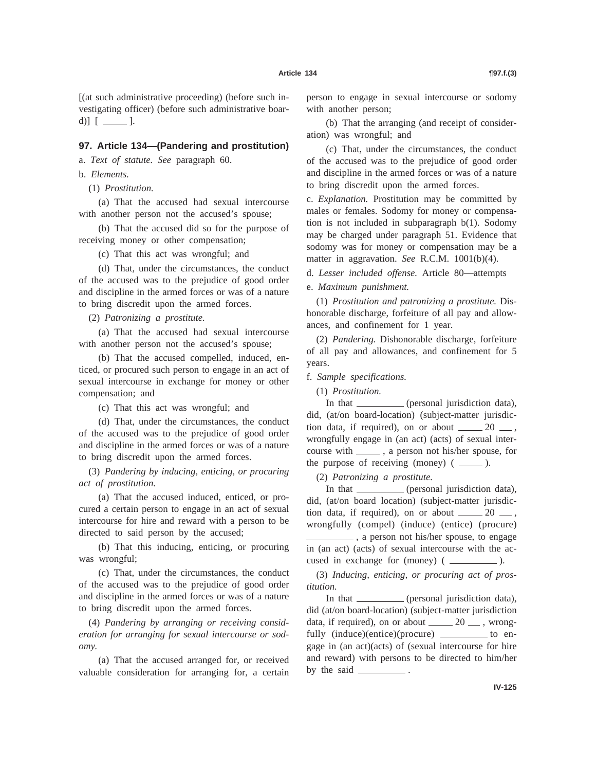## **97. Article 134—(Pandering and prostitution)**

a. *Text of statute. See* paragraph 60.

- b. *Elements.*
	- (1) *Prostitution.*

(a) That the accused had sexual intercourse with another person not the accused's spouse;

(b) That the accused did so for the purpose of receiving money or other compensation;

(c) That this act was wrongful; and

(d) That, under the circumstances, the conduct of the accused was to the prejudice of good order and discipline in the armed forces or was of a nature to bring discredit upon the armed forces.

(2) *Patronizing a prostitute.* 

(a) That the accused had sexual intercourse with another person not the accused's spouse;

(b) That the accused compelled, induced, enticed, or procured such person to engage in an act of sexual intercourse in exchange for money or other compensation; and

(c) That this act was wrongful; and

(d) That, under the circumstances, the conduct of the accused was to the prejudice of good order and discipline in the armed forces or was of a nature to bring discredit upon the armed forces.

(3) *Pandering by inducing, enticing, or procuring act of prostitution.* 

(a) That the accused induced, enticed, or procured a certain person to engage in an act of sexual intercourse for hire and reward with a person to be directed to said person by the accused;

(b) That this inducing, enticing, or procuring was wrongful;

(c) That, under the circumstances, the conduct of the accused was to the prejudice of good order and discipline in the armed forces or was of a nature to bring discredit upon the armed forces.

(4) *Pandering by arranging or receiving consideration for arranging for sexual intercourse or sodomy.*

(a) That the accused arranged for, or received valuable consideration for arranging for, a certain person to engage in sexual intercourse or sodomy with another person;

(b) That the arranging (and receipt of consideration) was wrongful; and

(c) That, under the circumstances, the conduct of the accused was to the prejudice of good order and discipline in the armed forces or was of a nature to bring discredit upon the armed forces.

c. *Explanation.* Prostitution may be committed by males or females. Sodomy for money or compensation is not included in subparagraph b(1). Sodomy may be charged under paragraph 51. Evidence that sodomy was for money or compensation may be a matter in aggravation. *See* R.C.M. 1001(b)(4).

d. *Lesser included offense.* Article 80—attempts

e. *Maximum punishment.* 

(1) *Prostitution and patronizing a prostitute.* Dishonorable discharge, forfeiture of all pay and allowances, and confinement for 1 year.

(2) *Pandering.* Dishonorable discharge, forfeiture of all pay and allowances, and confinement for 5 years.

f. *Sample specifications.* 

(1) *Prostitution.*

In that <u>entitled</u> (personal jurisdiction data), did, (at/on board-location) (subject-matter jurisdiction data, if required), on or about  $\_\_\_\_$  20  $\_\_\$ wrongfully engage in (an act) (acts) of sexual intercourse with  $\_\_\_\$ , a person not his/her spouse, for the purpose of receiving  $(money)$   $(\_\_$ .

(2) *Patronizing a prostitute.* 

In that (personal jurisdiction data), did, (at/on board location) (subject-matter jurisdiction data, if required), on or about  $\_\_\_\_$  20  $\_\_\$ wrongfully (compel) (induce) (entice) (procure)  $\frac{1}{1}$ , a person not his/her spouse, to engage in (an act) (acts) of sexual intercourse with the accused in exchange for  $(money)$   $($   $\_\_\_\_\_\_$ ).

(3) *Inducing, enticing, or procuring act of prostitution.*

In that (personal jurisdiction data), did (at/on board-location) (subject-matter jurisdiction data, if required), on or about  $\_\_\_\_$  20  $\_\_\$ , wrongfully  $(induce)(entice)(procedure)$  \_\_\_\_\_\_\_\_\_ to engage in (an act)(acts) of (sexual intercourse for hire and reward) with persons to be directed to him/her by the said \_\_\_\_\_\_\_\_\_\_\_\_.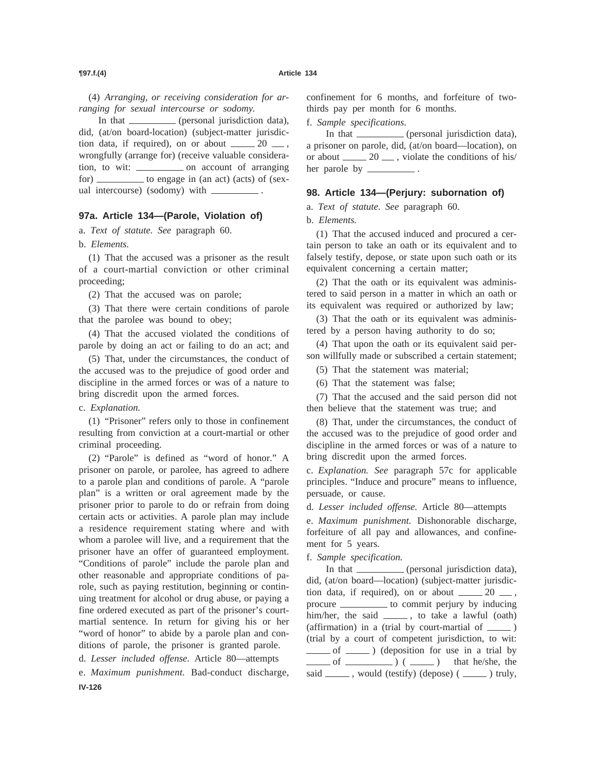(4) *Arranging, or receiving consideration for arranging for sexual intercourse or sodomy.* 

In that <u>entitled</u> (personal jurisdiction data), did, (at/on board-location) (subject-matter jurisdiction data, if required), on or about  $\_\_\_\_$  20  $\_\_\$ . wrongfully (arrange for) (receive valuable consideration, to wit: \_\_\_\_\_\_\_\_\_\_\_\_ on account of arranging for)  $\equiv$  to engage in (an act) (acts) of (sexual intercourse) (sodomy) with \_\_\_\_\_\_\_\_\_\_\_.

### **97a. Article 134—(Parole, Violation of)**

a. *Text of statute. See* paragraph 60.

b. *Elements.*

(1) That the accused was a prisoner as the result of a court-martial conviction or other criminal proceeding;

(2) That the accused was on parole;

(3) That there were certain conditions of parole that the parolee was bound to obey;

(4) That the accused violated the conditions of parole by doing an act or failing to do an act; and

(5) That, under the circumstances, the conduct of the accused was to the prejudice of good order and discipline in the armed forces or was of a nature to bring discredit upon the armed forces.

c. *Explanation.*

(1) "Prisoner" refers only to those in confinement resulting from conviction at a court-martial or other criminal proceeding.

(2) "Parole" is defined as "word of honor." A prisoner on parole, or parolee, has agreed to adhere to a parole plan and conditions of parole. A "parole plan" is a written or oral agreement made by the prisoner prior to parole to do or refrain from doing certain acts or activities. A parole plan may include a residence requirement stating where and with whom a parolee will live, and a requirement that the prisoner have an offer of guaranteed employment. "Conditions of parole" include the parole plan and other reasonable and appropriate conditions of parole, such as paying restitution, beginning or continuing treatment for alcohol or drug abuse, or paying a fine ordered executed as part of the prisoner's courtmartial sentence. In return for giving his or her "word of honor" to abide by a parole plan and conditions of parole, the prisoner is granted parole.

d. *Lesser included offense.* Article 80—attempts

e. *Maximum punishment*. Bad-conduct discharge, **IV-126**

confinement for 6 months, and forfeiture of twothirds pay per month for 6 months.

f. *Sample specifications.* 

In that \_\_\_\_\_\_\_\_\_\_ (personal jurisdiction data), a prisoner on parole, did, (at/on board—location), on or about  $\_\_\_\_$  20  $\_\_\_$ , violate the conditions of his/ her parole by \_\_\_\_\_\_\_\_\_\_.

## **98. Article 134—(Perjury: subornation of)**

a. *Text of statute. See* paragraph 60.

b. *Elements.*

(1) That the accused induced and procured a certain person to take an oath or its equivalent and to falsely testify, depose, or state upon such oath or its equivalent concerning a certain matter;

(2) That the oath or its equivalent was administered to said person in a matter in which an oath or its equivalent was required or authorized by law;

(3) That the oath or its equivalent was administered by a person having authority to do so;

(4) That upon the oath or its equivalent said person willfully made or subscribed a certain statement;

(5) That the statement was material;

(6) That the statement was false;

(7) That the accused and the said person did not then believe that the statement was true; and

(8) That, under the circumstances, the conduct of the accused was to the prejudice of good order and discipline in the armed forces or was of a nature to bring discredit upon the armed forces.

c. *Explanation*. See paragraph 57c for applicable principles. "Induce and procure" means to influence, persuade, or cause.

d. *Lesser included offense.* Article 80—attempts

e. *Maximum punishment*. Dishonorable discharge, forfeiture of all pay and allowances, and confinement for 5 years.

f. *Sample specification.* 

In that (personal jurisdiction data), did, (at/on board—location) (subject-matter jurisdiction data, if required), on or about  $\_\_\_\_$  20  $\_\_\$ , procure \_\_\_\_\_\_\_\_\_\_\_ to commit perjury by inducing him/her, the said \_\_\_\_\_\_, to take a lawful (oath) (affirmation) in a (trial by court-martial of  $\qquad$ ) (trial by a court of competent jurisdiction, to wit: of (deposition for use in a trial by  $\frac{1}{\sqrt{1-\frac{1}{\sqrt{1-\frac{1}{\sqrt{1-\frac{1}{\sqrt{1-\frac{1}{\sqrt{1-\frac{1}{\sqrt{1-\frac{1}{\sqrt{1-\frac{1}{\sqrt{1-\frac{1}{\sqrt{1-\frac{1}{\sqrt{1-\frac{1}{\sqrt{1-\frac{1}{\sqrt{1-\frac{1}{\sqrt{1-\frac{1}{\sqrt{1-\frac{1}{\sqrt{1-\frac{1}{\sqrt{1-\frac{1}{\sqrt{1-\frac{1}{\sqrt{1-\frac{1}{\sqrt{1-\frac{1}{\sqrt{1-\frac{1}{\sqrt{1-\frac{1}{\sqrt{1-\frac{1}{\sqrt{1-\frac{1}{\sqrt{1-\frac{1$ said \_\_\_\_\_\_, would (testify) (depose) ( \_\_\_\_\_ ) truly,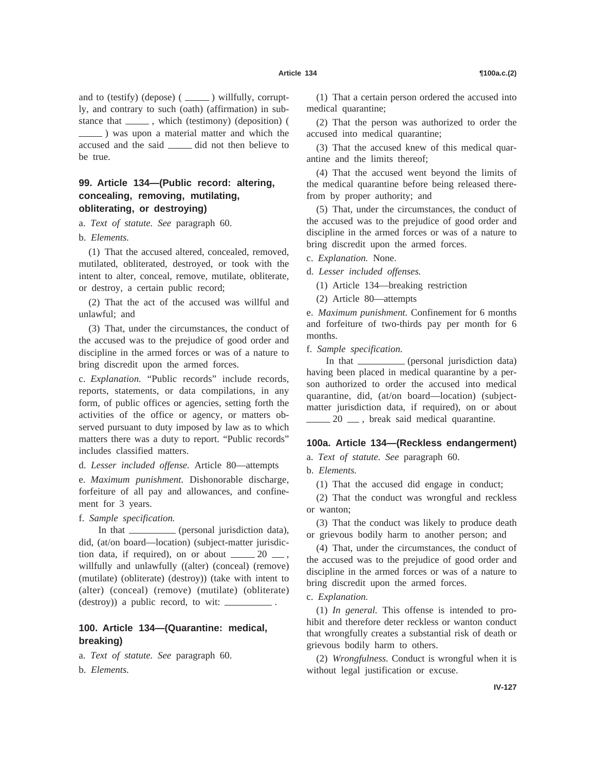and to (testify) (depose)  $($  \_\_\_\_\_\_  $)$  willfully, corruptly, and contrary to such (oath) (affirmation) in substance that \_\_\_\_\_\_\_, which (testimony) (deposition) ( ) was upon a material matter and which the accused and the said \_\_\_\_\_ did not then believe to be true.

# **99. Article 134—(Public record: altering, concealing, removing, mutilating, obliterating, or destroying)**

a. *Text of statute. See* paragraph 60.

b. *Elements.*

(1) That the accused altered, concealed, removed, mutilated, obliterated, destroyed, or took with the intent to alter, conceal, remove, mutilate, obliterate, or destroy, a certain public record;

(2) That the act of the accused was willful and unlawful; and

(3) That, under the circumstances, the conduct of the accused was to the prejudice of good order and discipline in the armed forces or was of a nature to bring discredit upon the armed forces.

c. *Explanation*. "Public records" include records, reports, statements, or data compilations, in any form, of public offices or agencies, setting forth the activities of the office or agency, or matters observed pursuant to duty imposed by law as to which matters there was a duty to report. "Public records" includes classified matters.

d. *Lesser included offense.* Article 80—attempts

e. *Maximum punishment*. Dishonorable discharge, forfeiture of all pay and allowances, and confinement for 3 years.

f. *Sample specification.* 

In that (personal jurisdiction data), did, (at/on board—location) (subject-matter jurisdiction data, if required), on or about  $\_\_\_\_$  20  $\_\_\$ willfully and unlawfully ((alter) (conceal) (remove) (mutilate) (obliterate) (destroy)) (take with intent to ( alter ) ( conceal ) ( remove ) ( mutilate ) ( obliterate ) (destroy)) a public record, to wit: .

# **100. Article 134—(Quarantine: medical, breaking)**

a. *Text of statute. See* paragraph 60.

b. *Elements.*

(1) That a certain person ordered the accused into medical quarantine;

(2) That the person was authorized to order the accused into medical quarantine;

(3) That the accused knew of this medical quarantine and the limits thereof;

(4) That the accused went beyond the limits of the medical quarantine before being released therefrom by proper authority; and

(5) That, under the circumstances, the conduct of the accused was to the prejudice of good order and discipline in the armed forces or was of a nature to bring discredit upon the armed forces.

c. *Explanation.* None.

d. *Lesser included offenses.* 

(1) Article 134—breaking restriction

(2) Article 80—attempts

e. *Maximum punishment.* Confinement for 6 months and forfeiture of two-thirds pay per month for 6 months.

f. *Sample specification.* 

In that (personal jurisdiction data) having been placed in medical quarantine by a person authorized to order the accused into medical quarantine, did, (at/on board—location) (subjectmatter jurisdiction data, if required), on or about 20 <sub>c</sub> break said medical quarantine.

#### **100a. Article 134—(Reckless endangerment)**

a. *Text of statute. See* paragraph 60.

b. *Elements.*

(1) That the accused did engage in conduct;

(2) That the conduct was wrongful and reckless or wanton;

(3) That the conduct was likely to produce death or grievous bodily harm to another person; and

(4) That, under the circumstances, the conduct of the accused was to the prejudice of good order and discipline in the armed forces or was of a nature to bring discredit upon the armed forces.

c. *Explanation.*

(1) *In general.* This offense is intended to prohibit and therefore deter reckless or wanton conduct that wrongfully creates a substantial risk of death or grievous bodily harm to others.

(2) *Wrongfulness.* Conduct is wrongful when it is without legal justification or excuse.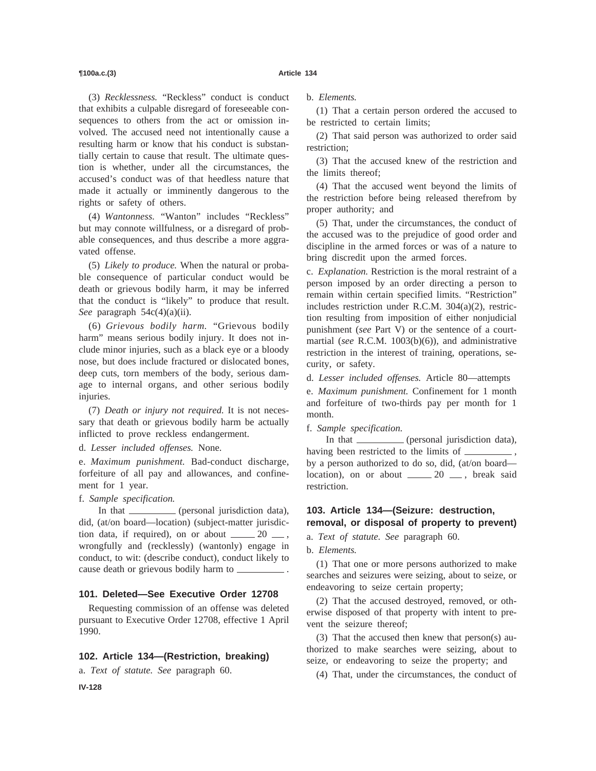#### $$$  **f 100a.c.**(3) **Article 134**

(3) *Recklessness.* "Reckless" conduct is conduct that exhibits a culpable disregard of foreseeable consequences to others from the act or omission involved. The accused need not intentionally cause a resulting harm or know that his conduct is substantially certain to cause that result. The ultimate question is whether, under all the circumstances, the accused's conduct was of that heedless nature that made it actually or imminently dangerous to the rights or safety of others.

(4) *Wantonness.* "Wanton" includes "Reckless" but may connote willfulness, or a disregard of probable consequences, and thus describe a more aggravated offense.

(5) *Likely to produce.* When the natural or probable consequence of particular conduct would be death or grievous bodily harm, it may be inferred that the conduct is "likely" to produce that result. *See* paragraph 54c(4)(a)(ii).

(6) Grievous bodily harm. "Grievous bodily harm" means serious bodily injury. It does not include minor injuries, such as a black eye or a bloody nose, but does include fractured or dislocated bones, deep cuts, torn members of the body, serious damage to internal organs, and other serious bodily injuries.

(7) *Death or injury not required.* It is not necessary that death or grievous bodily harm be actually inflicted to prove reckless endangerment.

d. *Lesser included offenses.* None.

e. *Maximum punishment*. Bad-conduct discharge, forfeiture of all pay and allowances, and confinement for 1 year.

## f. *Sample specification.*

In that <u>entitled</u> (personal jurisdiction data), did, (at/on board—location) (subject-matter jurisdiction data, if required), on or about  $\_\_\_\_$  20  $\_\_\$ wrongfully and (recklessly) (wantonly) engage in conduct, to wit: (describe conduct), conduct likely to cause death or grievous bodily harm to  $\equiv$ 

## **101. Deleted—See Executive Order 12708**

Requesting commission of an offense was deleted pursuant to Executive Order 12708, effective 1 April 1990.

#### **102. Article 134—(Restriction, breaking)**

a. *Text of statute. See* paragraph 60.

b. *Elements.*

(1) That a certain person ordered the accused to be restricted to certain limits;

(2) That said person was authorized to order said restriction;

(3) That the accused knew of the restriction and the limits thereof;

(4) That the accused went beyond the limits of the restriction before being released therefrom by proper authority; and

(5) That, under the circumstances, the conduct of the accused was to the prejudice of good order and discipline in the armed forces or was of a nature to bring discredit upon the armed forces.

c. *Explanation.* Restriction is the moral restraint of a person imposed by an order directing a person to remain within certain specified limits. "Restriction" includes restriction under R.C.M. 304(a)(2), restriction resulting from imposition of either nonjudicial punishment (*see* Part V) or the sentence of a courtmartial (*see* R.C.M. 1003(b)(6)), and administrative restriction in the interest of training, operations, security, or safety.

d. *Lesser included offenses.* Article 80—attempts

e. *Maximum punishment.* Confinement for 1 month and forfeiture of two-thirds pay per month for 1 month.

f. *Sample specification.* 

In that (personal jurisdiction data), having been restricted to the limits of  $\overline{\phantom{a}}$ by a person authorized to do so, did, (at/on board location), on or about  $\_\_\_\_$  20  $\_\_\_$ , break said restriction.

## **103. Article 134—(Seizure: destruction, removal, or disposal of property to prevent)**

a. *Text of statute. See* paragraph 60.

b. *Elements.*

(1) That one or more persons authorized to make searches and seizures were seizing, about to seize, or endeavoring to seize certain property;

(2) That the accused destroyed, removed, or otherwise disposed of that property with intent to prevent the seizure thereof;

(3) That the accused then knew that person(s) authorized to make searches were seizing, about to seize, or endeavoring to seize the property; and

(4) That, under the circumstances, the conduct of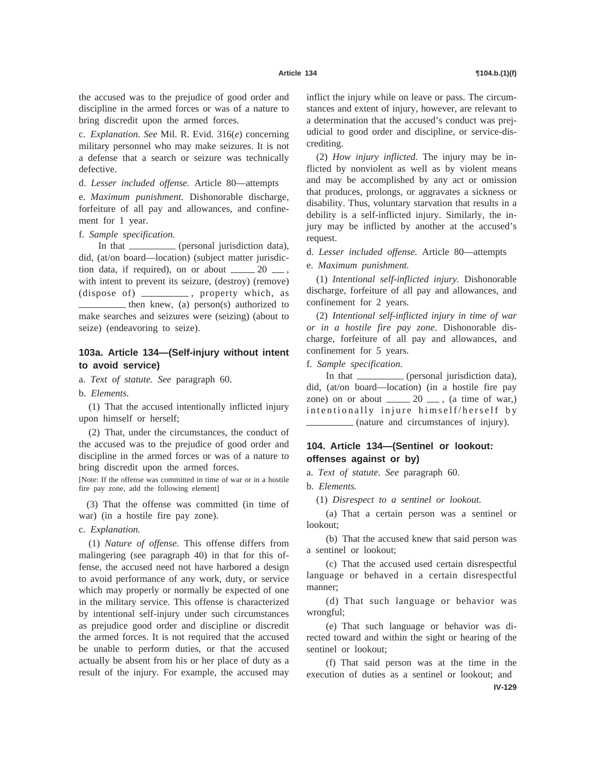the accused was to the prejudice of good order and discipline in the armed forces or was of a nature to bring discredit upon the armed forces.

c. *Explanation. See* Mil. R. Evid. 316(*e*) concerning military personnel who may make seizures. It is not a defense that a search or seizure was technically defective.

d. *Lesser included offense.* Article 80—attempts

e. *Maximum punishment*. Dishonorable discharge, forfeiture of all pay and allowances, and confinement for 1 year.

#### f. *Sample specification.*

In that \_\_\_\_\_\_\_\_\_\_ (personal jurisdiction data), did, (at/on board—location) (subject matter jurisdiction data, if required), on or about  $\_\_\_\_$  20  $\_\_\$ . with intent to prevent its seizure, (destroy) (remove) (dispose of) \_\_\_\_\_\_\_\_, property which, as  $\equiv$  then knew, (a) person(s) authorized to make searches and seizures were (seizing) (about to seize) (endeavoring to seize).

# **103a. Article 134—(Self-injury without intent to avoid service)**

a. *Text of statute. See* paragraph 60.

b. *Elements.*

(1) That the accused intentionally inflicted injury upon himself or herself;

(2) That, under the circumstances, the conduct of the accused was to the prejudice of good order and discipline in the armed forces or was of a nature to bring discredit upon the armed forces.

[Note: If the offense was committed in time of war or in a hostile fire pay zone, add the following element]

(3) That the offense was committed (in time of war) (in a hostile fire pay zone).

c. *Explanation.*

(1) *Nature of offense.* This offense differs from malingering (see paragraph 40) in that for this offense, the accused need not have harbored a design to avoid performance of any work, duty, or service which may properly or normally be expected of one in the military service. This offense is characterized by intentional self-injury under such circumstances as prejudice good order and discipline or discredit the armed forces. It is not required that the accused be unable to perform duties, or that the accused actually be absent from his or her place of duty as a result of the injury. For example, the accused may inflict the injury while on leave or pass. The circumstances and extent of injury, however, are relevant to a determination that the accused's conduct was prejudicial to good order and discipline, or service-discrediting.

(2) *How injury inflicted.* The injury may be inflicted by nonviolent as well as by violent means and may be accomplished by any act or omission that produces, prolongs, or aggravates a sickness or disability. Thus, voluntary starvation that results in a debility is a self-inflicted injury. Similarly, the injury may be inflicted by another at the accused's request.

d. *Lesser included offense.* Article 80—attempts

e. *Maximum punishment.* 

(1) *Intentional self-inflicted injury.* Dishonorable discharge, forfeiture of all pay and allowances, and confinement for 2 years.

(2) *Intentional self-inflicted injury in time of war or in a hostile fire pay zone.* Dishonorable discharge, forfeiture of all pay and allowances, and confinement for 5 years.

f. *Sample specification.* 

In that (personal jurisdiction data), did, (at/on board—location) (in a hostile fire pay zone) on or about  $\_\_\_\_$  20  $\_\_\_\$ , (a time of war,) intentionally injure himself/herself by (nature and circumstances of injury).

# **104. Article 134—(Sentinel or lookout: offenses against or by)**

a. *Text of statute. See* paragraph 60.

b. *Elements.*

(1) *Disrespect to a sentinel or lookout.* 

(a) That a certain person was a sentinel or lookout;

(b) That the accused knew that said person was a sentinel or lookout;

(c) That the accused used certain disrespectful language or behaved in a certain disrespectful manner;

(d) That such language or behavior was wrongful;

(e) That such language or behavior was directed toward and within the sight or hearing of the sentinel or lookout;

(f) That said person was at the time in the execution of duties as a sentinel or lookout; and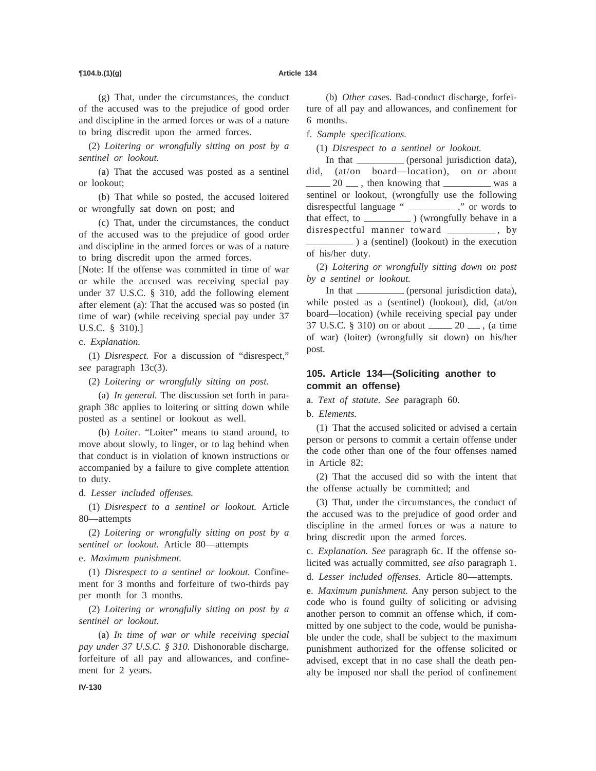## $$$  **f** $104.b.(1)(9)$  **Article 134**

(g) That, under the circumstances, the conduct of the accused was to the prejudice of good order and discipline in the armed forces or was of a nature to bring discredit upon the armed forces.

(2) *Loitering or wrongfully sitting on post by a sentinel or lookout.* 

(a) That the accused was posted as a sentinel or lookout;

(b) That while so posted, the accused loitered or wrongfully sat down on post; and

(c) That, under the circumstances, the conduct of the accused was to the prejudice of good order and discipline in the armed forces or was of a nature to bring discredit upon the armed forces.

[Note: If the offense was committed in time of war or while the accused was receiving special pay under 37 U.S.C. § 310, add the following element after element (a): That the accused was so posted (in time of war) (while receiving special pay under 37 U.S.C. § 310).]

c. *Explanation.*

(1) *Disrespect.* For a discussion of "disrespect," *see* paragraph 13c(3).

(2) *Loitering or wrongfully sitting on post.* 

(a) *In general.* The discussion set forth in paragraph 38c applies to loitering or sitting down while posted as a sentinel or lookout as well.

(b) *Loiter.* "Loiter" means to stand around, to move about slowly, to linger, or to lag behind when that conduct is in violation of known instructions or accompanied by a failure to give complete attention to duty.

d. *Lesser included offenses.* 

(1) *Disrespect to a sentinel or lookout.* Article 80—attempts

(2) *Loitering or wrongfully sitting on post by a sentinel or lookout.* Article 80—attempts

e. *Maximum punishment.* 

(1) *Disrespect to a sentinel or lookout.* Confinement for 3 months and forfeiture of two-thirds pay per month for 3 months.

(2) *Loitering or wrongfully sitting on post by a sentinel or lookout.* 

(a) *In time of war or while receiving special pay under 37 U.S.C. § 310.* Dishonorable discharge, forfeiture of all pay and allowances, and confinement for 2 years.

(b) *Other cases.* Bad-conduct discharge, forfeiture of all pay and allowances, and confinement for 6 months.

f. *Sample specifications.* 

(1) *Disrespect to a sentinel or lookout.* 

In that (personal jurisdiction data), did, (at/on board-location), on or about  $-20$  , then knowing that was a sentinel or lookout, (wrongfully use the following disrespectful language " ," or words to that effect, to \_\_\_\_\_\_\_\_\_\_ ) (wrongfully behave in a disrespectful manner toward \_\_\_\_\_\_\_, by ) a (sentinel) (lookout) in the execution of his/her duty.

(2) *Loitering or wrongfully sitting down on post by a sentinel or lookout.* 

In that <u>entitled</u> (personal jurisdiction data), while posted as a (sentinel) (lookout), did, (at/on board—location) (while receiving special pay under 37 U.S.C. § 310) on or about  $\_\_\_\_$  20  $\_\_\_\$ , (a time of war) (loiter) (wrongfully sit down) on his/her post.

# **105. Article 134—(Soliciting another to commit an offense)**

a. *Text of statute. See* paragraph 60.

b. *Elements.*

(1) That the accused solicited or advised a certain person or persons to commit a certain offense under the code other than one of the four offenses named in Article 82;

(2) That the accused did so with the intent that the offense actually be committed; and

(3) That, under the circumstances, the conduct of the accused was to the prejudice of good order and discipline in the armed forces or was a nature to bring discredit upon the armed forces.

c. *Explanation. See* paragraph 6c. If the offense solicited was actually committed, *see also* paragraph 1.

d. *Lesser included offenses.* Article 80—attempts.

e. *Maximum punishment.* Any person subject to the code who is found guilty of soliciting or advising another person to commit an offense which, if committed by one subject to the code, would be punishable under the code, shall be subject to the maximum punishment authorized for the offense solicited or advised, except that in no case shall the death penalty be imposed nor shall the period of confinement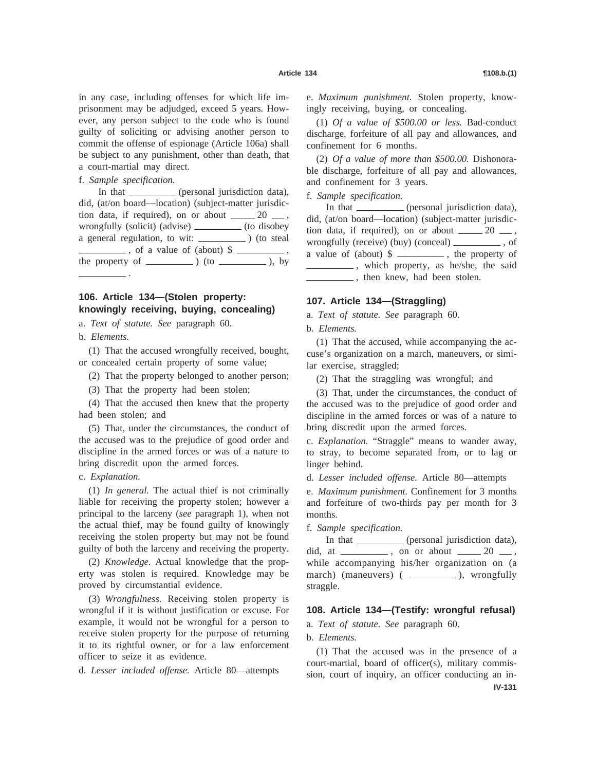in any case, including offenses for which life imprisonment may be adjudged, exceed 5 years. However, any person subject to the code who is found guilty of soliciting or advising another person to commit the offense of espionage (Article 106a) shall be subject to any punishment, other than death, that a court-martial may direct.

## f. *Sample specification.*

In that \_\_\_\_\_\_\_\_\_\_ (personal jurisdiction data), did, (at/on board—location) (subject-matter jurisdiction data, if required), on or about  $\_\_\_\_$  20  $\_\_\$ wrongfully (solicit) (advise) a general regulation, to wit: , of a value of (about)  $\frac{1}{2}$ the property of  $\qquad$  (to  $\qquad$ ), by (to disobey ) (to steal .

# **106. Article 134—(Stolen property: knowingly receiving, buying, concealing)**

a. *Text of statute. See* paragraph 60.

b. *Elements.*

(1) That the accused wrongfully received, bought, or concealed certain property of some value;

(2) That the property belonged to another person;

(3) That the property had been stolen;

(4) That the accused then knew that the property had been stolen; and

(5) That, under the circumstances, the conduct of the accused was to the prejudice of good order and discipline in the armed forces or was of a nature to bring discredit upon the armed forces.

c. *Explanation.*

(1) *In general.* The actual thief is not criminally liable for receiving the property stolen; however a principal to the larceny (*see* paragraph 1), when not the actual thief, may be found guilty of knowingly receiving the stolen property but may not be found guilty of both the larceny and receiving the property.

(2) *Knowledge.* Actual knowledge that the property was stolen is required. Knowledge may be proved by circumstantial evidence.

(3) *Wrongfulness*. Receiving stolen property is wrongful if it is without justification or excuse. For example, it would not be wrongful for a person to receive stolen property for the purpose of returning it to its rightful owner, or for a law enforcement officer to seize it as evidence.

d. *Lesser included offense.* Article 80—attempts

e. *Maximum punishment*. Stolen property, knowingly receiving, buying, or concealing.

(1) *Of a value of \$500.00 or less.* Bad-conduct discharge, forfeiture of all pay and allowances, and confinement for 6 months.

(2) *Of a value of more than \$500.00.* Dishonorable discharge, forfeiture of all pay and allowances, and confinement for 3 years.

f. *Sample specification.* 

In that (personal jurisdiction data), did, (at/on board—location) (subject-matter jurisdiction data, if required), on or about  $\_\_\_\_$  20  $\_\_\$ wrongfully (receive) (buy) (conceal) \_\_\_\_\_\_\_\_\_\_, of a value of (about)  $\frac{1}{2}$  , the property of which property, as he/she, the said then knew, had been stolen.

## **107. Article 134—(Straggling)**

a. *Text of statute. See* paragraph 60.

b. *Elements.*

(1) That the accused, while accompanying the accuse's organization on a march, maneuvers, or similar exercise, straggled;

(2) That the straggling was wrongful; and

(3) That, under the circumstances, the conduct of the accused was to the prejudice of good order and discipline in the armed forces or was of a nature to bring discredit upon the armed forces.

c. *Explanation.* "Straggle" means to wander away, to stray, to become separated from, or to lag or linger behind.

d. *Lesser included offense.* Article 80—attempts

e. *Maximum punishment.* Confinement for 3 months and forfeiture of two-thirds pay per month for 3 months.

f. *Sample specification.* 

In that \_\_\_\_\_\_\_\_\_\_ (personal jurisdiction data), did, at  $\frac{1}{20}$ , on or about  $\frac{1}{20}$ , while accompanying his/her organization on (a march) (maneuvers) ( $\_\_\_\_\_\_\$ ), wrong fully straggle.

## **108. Article 134—(Testify: wrongful refusal)**

a. *Text of statute. See* paragraph 60.

b. *Elements.*

(1) That the accused was in the presence of a court-martial, board of officer(s), military commission, court of inquiry, an officer conducting an in-**IV-131**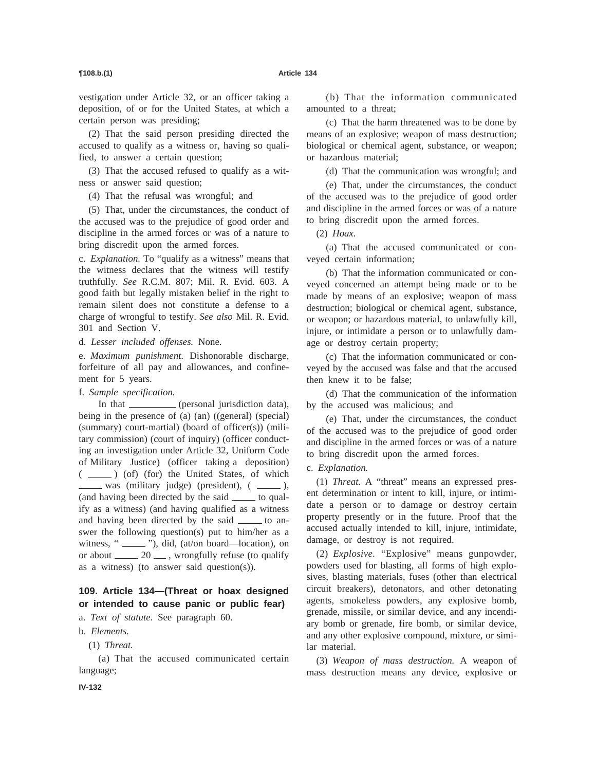#### $$$  **f** 108.b.(1) **Article 134**

vestigation under Article 32, or an officer taking a deposition, of or for the United States, at which a certain person was presiding;

(2) That the said person presiding directed the accused to qualify as a witness or, having so qualified, to answer a certain question;

(3) That the accused refused to qualify as a witness or answer said question;

(4) That the refusal was wrongful; and

(5) That, under the circumstances, the conduct of the accused was to the prejudice of good order and discipline in the armed forces or was of a nature to bring discredit upon the armed forces.

c. *Explanation.* To "qualify as a witness" means that the witness declares that the witness will testify truthfully. *See* R.C.M. 807; Mil. R. Evid. 603. A good faith but legally mistaken belief in the right to remain silent does not constitute a defense to a charge of wrongful to testify. *See also* Mil. R. Evid. 301 and Section V.

d. *Lesser included offenses.* None.

e. *Maximum punishment*. Dishonorable discharge, forfeiture of all pay and allowances, and confinement for 5 years.

f. *Sample specification.* 

In that (personal jurisdiction data), being in the presence of (a) (an) ((general) (special) (summary) court-martial) (board of officer(s)) (military commission) (court of inquiry) (officer conducting an investigation under Article 32, Uniform Code of Military Justice) (officer taking a deposition)  $($   $\_\_)$  (of) (for) the United States, of which  $\equiv$  was (military judge) (president), ( $\equiv$ ), (and having been directed by the said  $\_\_\_\_$ to qualify as a witness) (and having qualified as a witness and having been directed by the said  $\_\_\_\_$ to answer the following question(s) put to him/her as a witness, "
summerself", did, (at/on board—location), on or about  $\_\_\_\_$  20  $\_\_\_\$ , wrongfully refuse (to qualify as a witness) (to answer said question(s)).

# **109. Article 134—(Threat or hoax designed or intended to cause panic or public fear)**

a. *Text of statute.* See paragraph 60.

b. *Elements.*

(1) *Threat.*

(a) That the accused communicated certain language;

 $(b)$  That the information communicated amounted to a threat;

(c) That the harm threatened was to be done by means of an explosive; weapon of mass destruction; biological or chemical agent, substance, or weapon; or hazardous material;

(d) That the communication was wrongful; and

(e) That, under the circumstances, the conduct of the accused was to the prejudice of good order and discipline in the armed forces or was of a nature to bring discredit upon the armed forces.

(2) *Hoax.*

(a) That the accused communicated or conveyed certain information;

(b) That the information communicated or conveyed concerned an attempt being made or to be made by means of an explosive; weapon of mass destruction; biological or chemical agent, substance, or weapon; or hazardous material, to unlawfully kill, injure, or intimidate a person or to unlawfully damage or destroy certain property;

(c) That the information communicated or conveyed by the accused was false and that the accused then knew it to be false;

(d) That the communication of the information by the accused was malicious; and

(e) That, under the circumstances, the conduct of the accused was to the prejudice of good order and discipline in the armed forces or was of a nature to bring discredit upon the armed forces.

c. *Explanation.*

(1) *Threat.* A "threat" means an expressed present determination or intent to kill, injure, or intimidate a person or to damage or destroy certain property presently or in the future. Proof that the accused actually intended to kill, injure, intimidate, damage, or destroy is not required.

(2) *Explosive*. "Explosive" means gunpowder, powders used for blasting, all forms of high explosives, blasting materials, fuses (other than electrical circuit breakers), detonators, and other detonating agents, smokeless powders, any explosive bomb, grenade, missile, or similar device, and any incendiary bomb or grenade, fire bomb, or similar device, and any other explosive compound, mixture, or similar material.

(3) *Weapon of mass destruction.* A weapon of mass destruction means any device, explosive or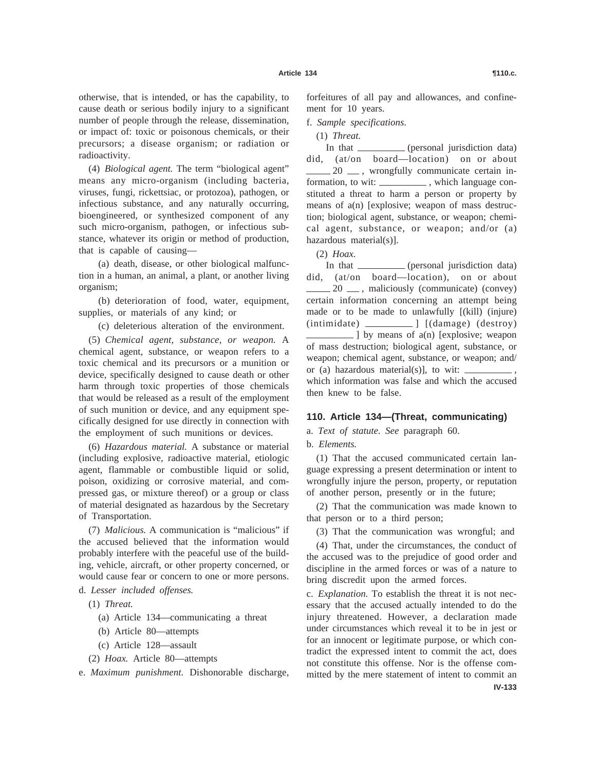otherwise, that is intended, or has the capability, to cause death or serious bodily injury to a significant number of people through the release, dissemination, or impact of: toxic or poisonous chemicals, or their precursors; a disease organism; or radiation or radioactivity.

(4) *Biological agent.* The term "biological agent" means any micro-organism (including bacteria, viruses, fungi, rickettsiac, or protozoa), pathogen, or infectious substance, and any naturally occurring, bioengineered, or synthesized component of any such micro-organism, pathogen, or infectious substance, whatever its origin or method of production, that is capable of causing—

(a) death, disease, or other biological malfunction in a human, an animal, a plant, or another living organism;

(b) deterioration of food, water, equipment, supplies, or materials of any kind; or

(c) deleterious alteration of the environment.

(5) *Chemical agent, substance, or weapon.* A chemical agent, substance, or weapon refers to a toxic chemical and its precursors or a munition or device, specifically designed to cause death or other harm through toxic properties of those chemicals that would be released as a result of the employment of such munition or device, and any equipment specifically designed for use directly in connection with the employment of such munitions or devices.

(6) *Hazardous material.* A substance or material (including explosive, radioactive material, etiologic agent, flammable or combustible liquid or solid, poison, oxidizing or corrosive material, and compressed gas, or mixture thereof) or a group or class of material designated as hazardous by the Secretary of Transportation.

(7) *Malicious.* A communication is "malicious" if the accused believed that the information would probably interfere with the peaceful use of the building, vehicle, aircraft, or other property concerned, or would cause fear or concern to one or more persons.

# d. *Lesser included offenses.*

- (1) *Threat.*
	- (a) Article 134—communicating a threat
	- (b) Article 80—attempts
	- (c) Article 128—assault
- (2) *Hoax.* Article 80—attempts

e. *Maximum punishment*. Dishonorable discharge,

forfeitures of all pay and allowances, and confinement for 10 years.

- f. *Sample specifications.* 
	- (1) *Threat.*

In that (personal jurisdiction data)  $did, (at/on board—location)$  on or about  $\_\$  20  $\_\$ , wrongfully communicate certain information, to wit: \_\_\_\_\_\_\_\_\_\_\_, which language constituted a threat to harm a person or property by means of a(n) [explosive; weapon of mass destruction; biological agent, substance, or weapon; chemical agent, substance, or weapon; and/or (a) hazardous material(s)].

(2) *Hoax.*

In that (personal jurisdiction data) did, (at/on board—location), on or about  $-20$  , maliciously (communicate) (convey) certain information concerning an attempt being made or to be made to unlawfully [(kill) (injure)  $(intimidate)$   $[ (damage)$   $(destroy)$ [11] by means of a(n) [explosive; weapon of mass destruction; biological agent, substance, or weapon; chemical agent, substance, or weapon; and/ or (a) hazardous material(s)], to wit:  $\Box$ which information was false and which the accused then knew to be false.

## **110. Article 134—(Threat, communicating)**

a. *Text of statute. See* paragraph 60.

b. *Elements.*

(1) That the accused communicated certain language expressing a present determination or intent to wrongfully injure the person, property, or reputation of another person, presently or in the future;

(2) That the communication was made known to that person or to a third person;

(3) That the communication was wrongful; and

(4) That, under the circumstances, the conduct of the accused was to the prejudice of good order and discipline in the armed forces or was of a nature to bring discredit upon the armed forces.

c. *Explanation.* To establish the threat it is not necessary that the accused actually intended to do the injury threatened. However, a declaration made under circumstances which reveal it to be in jest or for an innocent or legitimate purpose, or which contradict the expressed intent to commit the act, does not constitute this offense. Nor is the offense committed by the mere statement of intent to commit an **IV-133**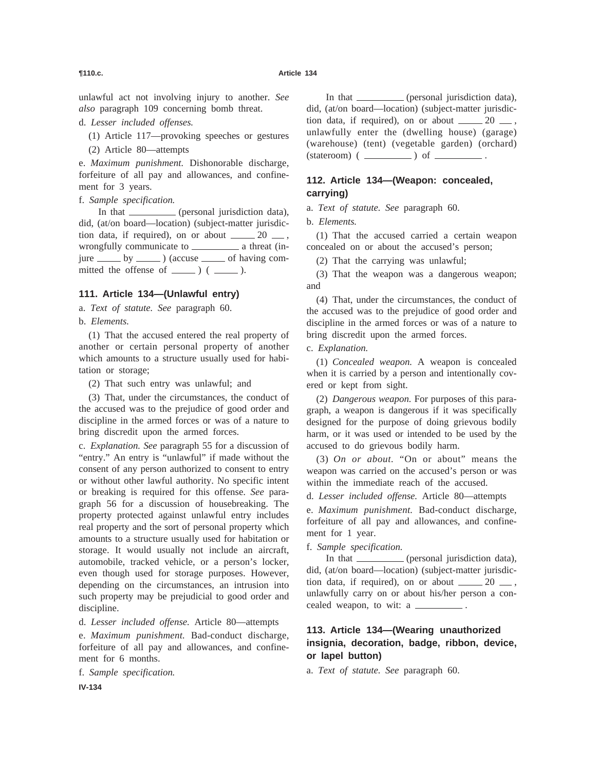#### **¶110.c. Article 134**

unlawful act not involving injury to another. *See also* paragraph 109 concerning bomb threat.

d. *Lesser included offenses.* 

(1) Article 117—provoking speeches or gestures

(2) Article 80—attempts

e. *Maximum punishment*. Dishonorable discharge, forfeiture of all pay and allowances, and confinement for 3 years.

f. *Sample specification.* 

In that <u>entitled</u> (personal jurisdiction data), did, (at/on board—location) (subject-matter jurisdiction data, if required), on or about  $\_\_\_\_$  20  $\_\_\$ wrongfully communicate to \_\_\_\_\_\_\_\_\_\_\_ a threat (in $jure \_\_\_$  by  $\_\_\_$ ) (accuse  $\_\_\_$  of having committed the offense of  $\rule{1em}{0.15mm}$ .

## **111. Article 134—(Unlawful entry)**

a. *Text of statute. See* paragraph 60.

b. *Elements.*

(1) That the accused entered the real property of another or certain personal property of another which amounts to a structure usually used for habitation or storage;

(2) That such entry was unlawful; and

(3) That, under the circumstances, the conduct of the accused was to the prejudice of good order and discipline in the armed forces or was of a nature to bring discredit upon the armed forces.

c. *Explanation. See* paragraph 55 for a discussion of "entry." An entry is "unlawful" if made without the consent of any person authorized to consent to entry or without other lawful authority. No specific intent or breaking is required for this offense. *See* paragraph 56 for a discussion of housebreaking. The property protected against unlawful entry includes real property and the sort of personal property which amounts to a structure usually used for habitation or storage. It would usually not include an aircraft, automobile, tracked vehicle, or a person's locker, even though used for storage purposes. However, depending on the circumstances, an intrusion into such property may be prejudicial to good order and discipline.

d. *Lesser included offense.* Article 80—attempts

e. *Maximum punishment*. Bad-conduct discharge, forfeiture of all pay and allowances, and confinement for 6 months.

f. *Sample specification.* 

In that \_\_\_\_\_\_\_\_\_\_ (personal jurisdiction data), did, (at/on board—location) (subject-matter jurisdiction data, if required), on or about  $\_\_\_\_$  20  $\_\_\$ . unlawfully enter the (dwelling house) (garage) (warehouse) (tent) (vegetable garden) (orchard)  $(\text{statement})$   $(\underline{\hspace{1cm}})$  of  $\underline{\hspace{1cm}}$ .

# **112. Article 134—(Weapon: concealed, carrying)**

a. *Text of statute. See* paragraph 60.

b. *Elements.*

(1) That the accused carried a certain weapon concealed on or about the accused's person;

(2) That the carrying was unlawful;

(3) That the weapon was a dangerous weapon; and

(4) That, under the circumstances, the conduct of the accused was to the prejudice of good order and discipline in the armed forces or was of a nature to bring discredit upon the armed forces.

c. *Explanation.*

(1) *Concealed weapon.* A weapon is concealed when it is carried by a person and intentionally covered or kept from sight.

(2) *Dangerous weapon.* For purposes of this paragraph, a weapon is dangerous if it was specifically designed for the purpose of doing grievous bodily harm, or it was used or intended to be used by the accused to do grievous bodily harm.

(3)  $On$  or about. "On or about" means the weapon was carried on the accused's person or was within the immediate reach of the accused.

d. *Lesser included offense.* Article 80—attempts

e. *Maximum punishment*. Bad-conduct discharge, forfeiture of all pay and allowances, and confinement for 1 year.

f. *Sample specification.* 

In that <u>entitled</u> (personal jurisdiction data), did, (at/on board—location) (subject-matter jurisdiction data, if required), on or about  $\_\_\_\_$  20  $\_\_\$ unlawfully carry on or about his/her person a concealed weapon, to wit: a  $\equiv$ 

# **113. Article 134—(Wearing unauthorized insignia, decoration, badge, ribbon, device, or lapel button)**

a. *Text of statute. See* paragraph 60.